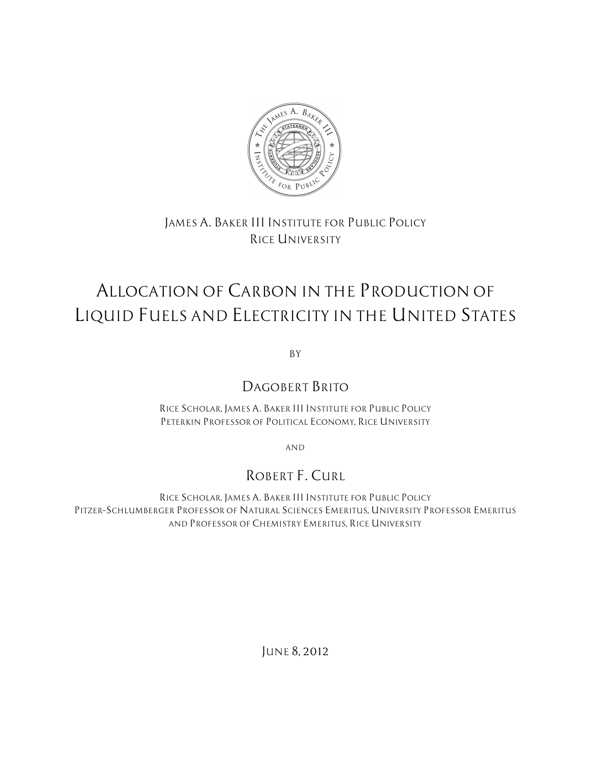

# *JAMES A. BAKER III INSTITUTE FOR PUBLIC POLICY RICE UNIVERSITY*

# *ALLOCATION OF CARBON IN THE PRODUCTION OF LIQUID FUELS AND ELECTRICITY IN THE UNITED STATES*

*BY*

# *DAGOBERT BRITO*

*RICE SCHOLAR, JAMES A. BAKER III INSTITUTE FOR PUBLIC POLICY PETERKIN PROFESSOR OF POLITICAL ECONOMY, RICE UNIVERSITY*

*AND*

# *ROBERT F. CURL*

*RICE SCHOLAR, JAMES A. BAKER III INSTITUTE FOR PUBLIC POLICY PITZER–SCHLUMBERGER PROFESSOR OF NATURAL SCIENCES EMERITUS, UNIVERSITY PROFESSOR EMERITUS AND PROFESSOR OF CHEMISTRY EMERITUS, RICE UNIVERSITY*

*JUNE 8, 2012*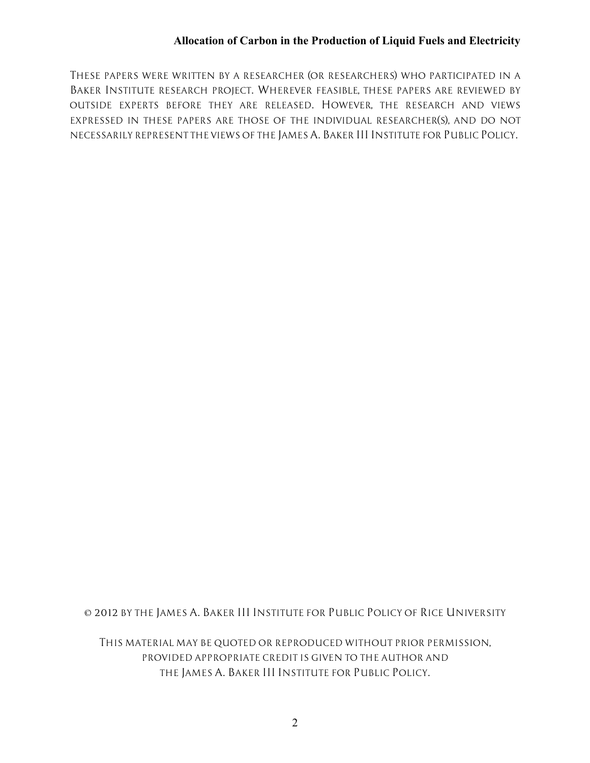*THESE PAPERS WERE WRITTEN BY A RESEARCHER (OR RESEARCHERS) WHO PARTICIPATED IN A BAKER INSTITUTE RESEARCH PROJECT. WHEREVER FEASIBLE, THESE PAPERS ARE REVIEWED BY OUTSIDE EXPERTS BEFORE THEY ARE RELEASED. HOWEVER, THE RESEARCH AND VIEWS EXPRESSED IN THESE PAPERS ARE THOSE OF THE INDIVIDUAL RESEARCHER(S), AND DO NOT NECESSARILY REPRESENT THE VIEWS OF THE JAMES A. BAKER III INSTITUTE FOR PUBLIC POLICY.*

*© 2012 BY THE JAMES A. BAKER III INSTITUTE FOR PUBLIC POLICY OF RICE UNIVERSITY*

*THIS MATERIAL MAY BE QUOTED OR REPRODUCED WITHOUT PRIOR PERMISSION, PROVIDED APPROPRIATE CREDIT IS GIVEN TO THE AUTHOR AND THE JAMES A. BAKER III INSTITUTE FOR PUBLIC POLICY.*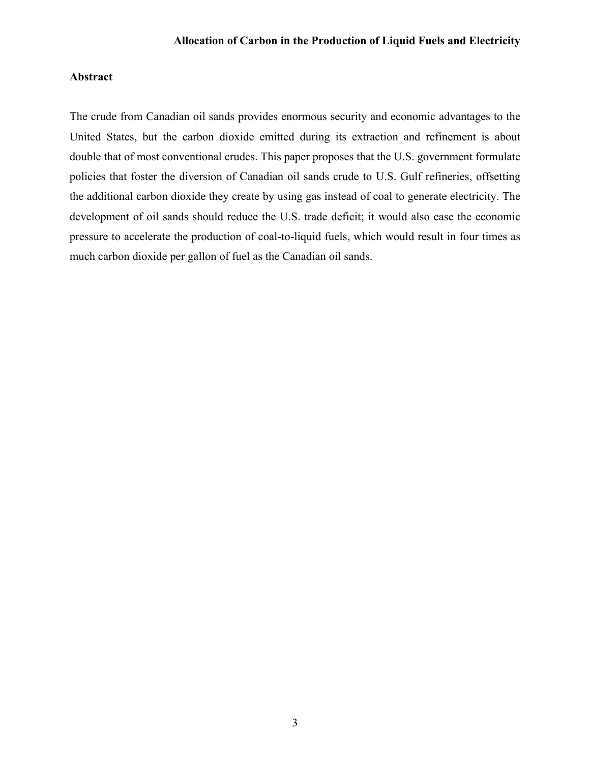# **Abstract**

The crude from Canadian oil sands provides enormous security and economic advantages to the United States, but the carbon dioxide emitted during its extraction and refinement is about double that of most conventional crudes. This paper proposes that the U.S. government formulate policies that foster the diversion of Canadian oil sands crude to U.S. Gulf refineries, offsetting the additional carbon dioxide they create by using gas instead of coal to generate electricity. The development of oil sands should reduce the U.S. trade deficit; it would also ease the economic pressure to accelerate the production of coal-to-liquid fuels, which would result in four times as much carbon dioxide per gallon of fuel as the Canadian oil sands.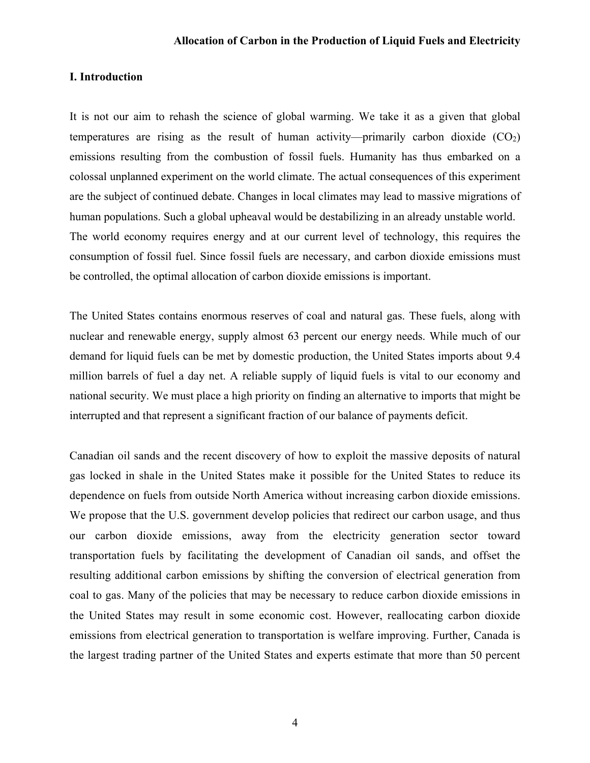#### **I. Introduction**

It is not our aim to rehash the science of global warming. We take it as a given that global temperatures are rising as the result of human activity—primarily carbon dioxide  $(CO<sub>2</sub>)$ emissions resulting from the combustion of fossil fuels. Humanity has thus embarked on a colossal unplanned experiment on the world climate. The actual consequences of this experiment are the subject of continued debate. Changes in local climates may lead to massive migrations of human populations. Such a global upheaval would be destabilizing in an already unstable world. The world economy requires energy and at our current level of technology, this requires the consumption of fossil fuel. Since fossil fuels are necessary, and carbon dioxide emissions must be controlled, the optimal allocation of carbon dioxide emissions is important.

The United States contains enormous reserves of coal and natural gas. These fuels, along with nuclear and renewable energy, supply almost 63 percent our energy needs. While much of our demand for liquid fuels can be met by domestic production, the United States imports about 9.4 million barrels of fuel a day net. A reliable supply of liquid fuels is vital to our economy and national security. We must place a high priority on finding an alternative to imports that might be interrupted and that represent a significant fraction of our balance of payments deficit.

Canadian oil sands and the recent discovery of how to exploit the massive deposits of natural gas locked in shale in the United States make it possible for the United States to reduce its dependence on fuels from outside North America without increasing carbon dioxide emissions. We propose that the U.S. government develop policies that redirect our carbon usage, and thus our carbon dioxide emissions, away from the electricity generation sector toward transportation fuels by facilitating the development of Canadian oil sands, and offset the resulting additional carbon emissions by shifting the conversion of electrical generation from coal to gas. Many of the policies that may be necessary to reduce carbon dioxide emissions in the United States may result in some economic cost. However, reallocating carbon dioxide emissions from electrical generation to transportation is welfare improving. Further, Canada is the largest trading partner of the United States and experts estimate that more than 50 percent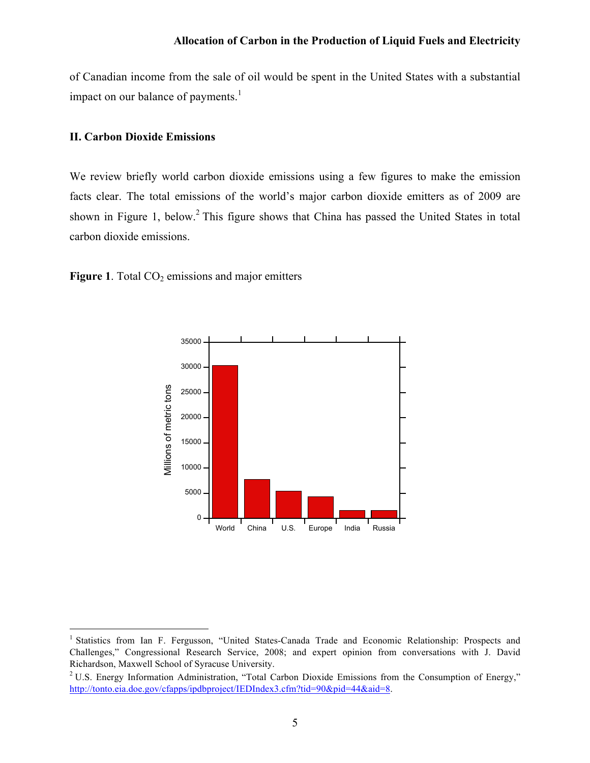of Canadian income from the sale of oil would be spent in the United States with a substantial impact on our balance of payments. $<sup>1</sup>$ </sup>

#### **II. Carbon Dioxide Emissions**

We review briefly world carbon dioxide emissions using a few figures to make the emission facts clear. The total emissions of the world's major carbon dioxide emitters as of 2009 are shown in Figure 1, below.<sup>2</sup> This figure shows that China has passed the United States in total carbon dioxide emissions.

**Figure 1**. Total  $CO<sub>2</sub>$  emissions and major emitters



<sup>&</sup>lt;sup>1</sup> Statistics from Ian F. Fergusson, "United States-Canada Trade and Economic Relationship: Prospects and Challenges," Congressional Research Service, 2008; and expert opinion from conversations with J. David Richardson, Maxwell School of Syracuse University.

<sup>&</sup>lt;sup>2</sup> U.S. Energy Information Administration, "Total Carbon Dioxide Emissions from the Consumption of Energy," http://tonto.eia.doe.gov/cfapps/ipdbproject/IEDIndex3.cfm?tid=90&pid=44&aid=8.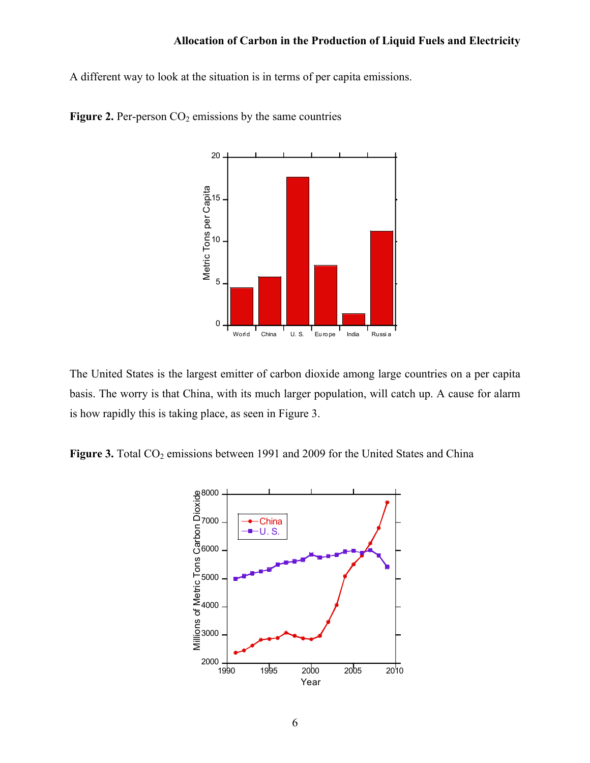A different way to look at the situation is in terms of per capita emissions.



Figure 2. Per-person CO<sub>2</sub> emissions by the same countries

The United States is the largest emitter of carbon dioxide among large countries on a per capita basis. The worry is that China, with its much larger population, will catch up. A cause for alarm is how rapidly this is taking place, as seen in Figure 3.

Figure 3. Total CO<sub>2</sub> emissions between 1991 and 2009 for the United States and China

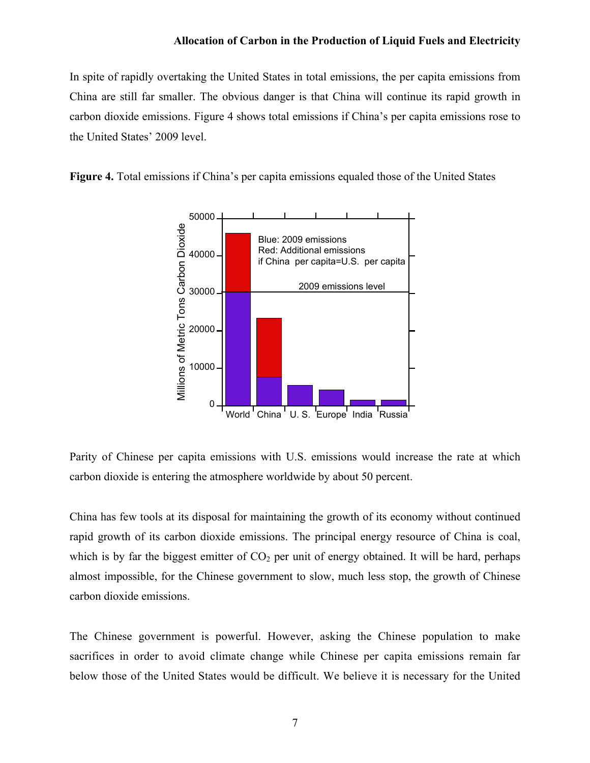In spite of rapidly overtaking the United States in total emissions, the per capita emissions from China are still far smaller. The obvious danger is that China will continue its rapid growth in carbon dioxide emissions. Figure 4 shows total emissions if China's per capita emissions rose to the United States' 2009 level.

**Figure 4.** Total emissions if China's per capita emissions equaled those of the United States



Parity of Chinese per capita emissions with U.S. emissions would increase the rate at which carbon dioxide is entering the atmosphere worldwide by about 50 percent.

China has few tools at its disposal for maintaining the growth of its economy without continued rapid growth of its carbon dioxide emissions. The principal energy resource of China is coal, which is by far the biggest emitter of  $CO<sub>2</sub>$  per unit of energy obtained. It will be hard, perhaps almost impossible, for the Chinese government to slow, much less stop, the growth of Chinese carbon dioxide emissions.

The Chinese government is powerful. However, asking the Chinese population to make sacrifices in order to avoid climate change while Chinese per capita emissions remain far below those of the United States would be difficult. We believe it is necessary for the United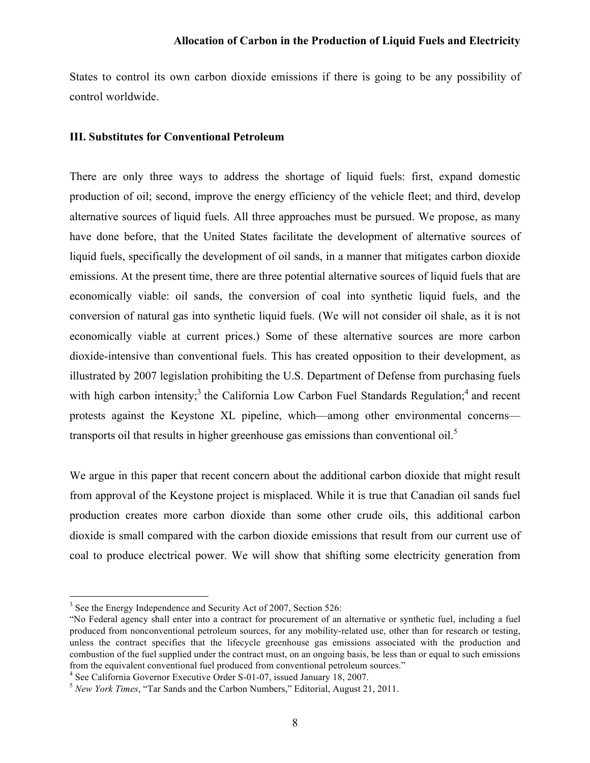States to control its own carbon dioxide emissions if there is going to be any possibility of control worldwide.

#### **III. Substitutes for Conventional Petroleum**

There are only three ways to address the shortage of liquid fuels: first, expand domestic production of oil; second, improve the energy efficiency of the vehicle fleet; and third, develop alternative sources of liquid fuels. All three approaches must be pursued. We propose, as many have done before, that the United States facilitate the development of alternative sources of liquid fuels, specifically the development of oil sands, in a manner that mitigates carbon dioxide emissions. At the present time, there are three potential alternative sources of liquid fuels that are economically viable: oil sands, the conversion of coal into synthetic liquid fuels, and the conversion of natural gas into synthetic liquid fuels. (We will not consider oil shale, as it is not economically viable at current prices.) Some of these alternative sources are more carbon dioxide-intensive than conventional fuels. This has created opposition to their development, as illustrated by 2007 legislation prohibiting the U.S. Department of Defense from purchasing fuels with high carbon intensity;<sup>3</sup> the California Low Carbon Fuel Standards Regulation;<sup>4</sup> and recent protests against the Keystone XL pipeline, which—among other environmental concerns transports oil that results in higher greenhouse gas emissions than conventional oil.<sup>5</sup>

We argue in this paper that recent concern about the additional carbon dioxide that might result from approval of the Keystone project is misplaced. While it is true that Canadian oil sands fuel production creates more carbon dioxide than some other crude oils, this additional carbon dioxide is small compared with the carbon dioxide emissions that result from our current use of coal to produce electrical power. We will show that shifting some electricity generation from

<sup>4</sup> See California Governor Executive Order S-01-07, issued January 18, 2007. 5 *New York Times*, "Tar Sands and the Carbon Numbers," Editorial, August 21, 2011.

<sup>&</sup>lt;sup>3</sup> See the Energy Independence and Security Act of 2007, Section 526:

<sup>&</sup>quot;No Federal agency shall enter into a contract for procurement of an alternative or synthetic fuel, including a fuel produced from nonconventional petroleum sources, for any mobility-related use, other than for research or testing, unless the contract specifies that the lifecycle greenhouse gas emissions associated with the production and combustion of the fuel supplied under the contract must, on an ongoing basis, be less than or equal to such emissions from the equivalent conventional fuel produced from conventional petroleum sources."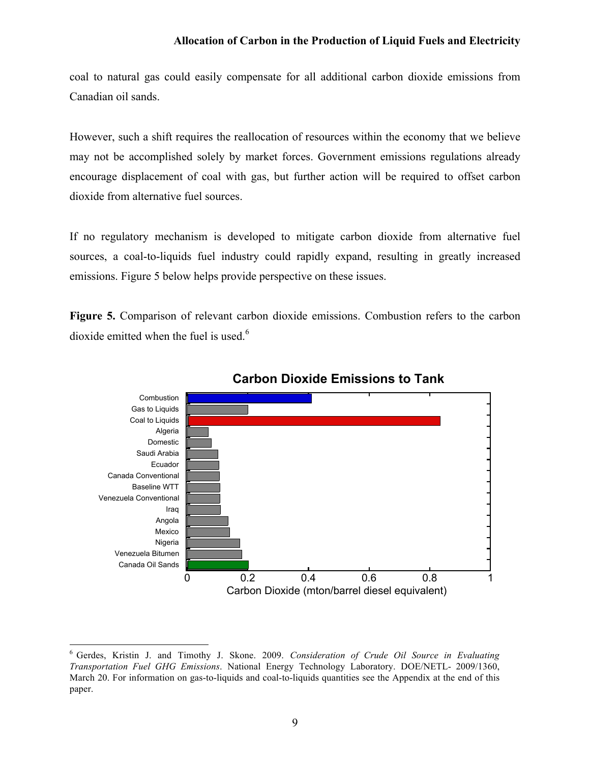coal to natural gas could easily compensate for all additional carbon dioxide emissions from Canadian oil sands.

However, such a shift requires the reallocation of resources within the economy that we believe may not be accomplished solely by market forces. Government emissions regulations already encourage displacement of coal with gas, but further action will be required to offset carbon dioxide from alternative fuel sources.

If no regulatory mechanism is developed to mitigate carbon dioxide from alternative fuel sources, a coal-to-liquids fuel industry could rapidly expand, resulting in greatly increased emissions. Figure 5 below helps provide perspective on these issues.

**Figure 5.** Comparison of relevant carbon dioxide emissions. Combustion refers to the carbon dioxide emitted when the fuel is used.<sup>6</sup>



### **Carbon Dioxide Emissions to Tank**

 <sup>6</sup> Gerdes, Kristin J. and Timothy J. Skone. 2009. *Consideration of Crude Oil Source in Evaluating Transportation Fuel GHG Emissions*. National Energy Technology Laboratory. DOE/NETL- 2009/1360, March 20. For information on gas-to-liquids and coal-to-liquids quantities see the Appendix at the end of this paper.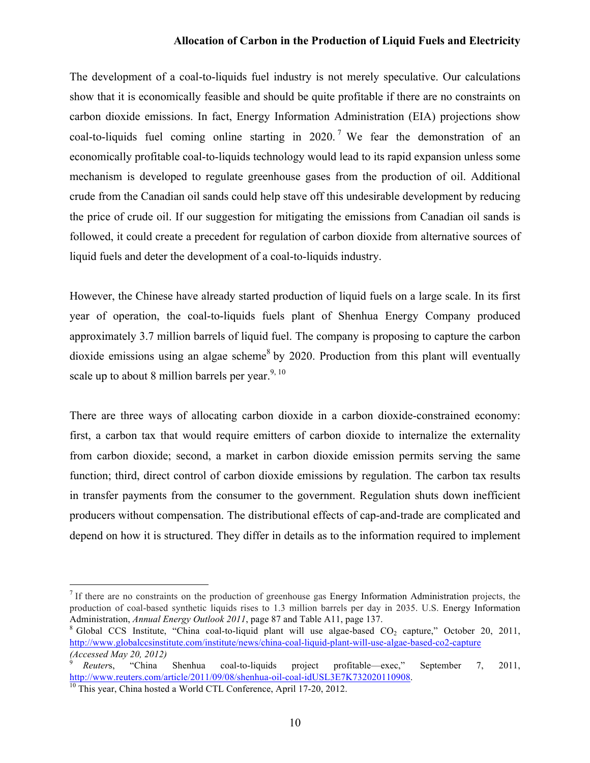The development of a coal-to-liquids fuel industry is not merely speculative. Our calculations show that it is economically feasible and should be quite profitable if there are no constraints on carbon dioxide emissions. In fact, Energy Information Administration (EIA) projections show coal-to-liquids fuel coming online starting in 2020.<sup>7</sup> We fear the demonstration of an economically profitable coal-to-liquids technology would lead to its rapid expansion unless some mechanism is developed to regulate greenhouse gases from the production of oil. Additional crude from the Canadian oil sands could help stave off this undesirable development by reducing the price of crude oil. If our suggestion for mitigating the emissions from Canadian oil sands is followed, it could create a precedent for regulation of carbon dioxide from alternative sources of liquid fuels and deter the development of a coal-to-liquids industry.

However, the Chinese have already started production of liquid fuels on a large scale. In its first year of operation, the coal-to-liquids fuels plant of Shenhua Energy Company produced approximately 3.7 million barrels of liquid fuel. The company is proposing to capture the carbon dioxide emissions using an algae scheme<sup>8</sup> by 2020. Production from this plant will eventually scale up to about 8 million barrels per year.  $9,10$ 

There are three ways of allocating carbon dioxide in a carbon dioxide-constrained economy: first, a carbon tax that would require emitters of carbon dioxide to internalize the externality from carbon dioxide; second, a market in carbon dioxide emission permits serving the same function; third, direct control of carbon dioxide emissions by regulation. The carbon tax results in transfer payments from the consumer to the government. Regulation shuts down inefficient producers without compensation. The distributional effects of cap-and-trade are complicated and depend on how it is structured. They differ in details as to the information required to implement

 <sup>7</sup> If there are no constraints on the production of greenhouse gas Energy Information Administration projects, the production of coal-based synthetic liquids rises to 1.3 million barrels per day in 2035. U.S. Energy Information Administration, *Annual Energy Outlook 2011*, page 87 and Table A11, page 137.<br><sup>8</sup> Global CCS Institute, "China coal-to-liquid plant will use algae-based CO<sub>2</sub> capture," October 20, 2011,

http://www.globalccsinstitute.com/institute/news/china-coal-liquid-plant-will-use-algae-based-co2-capture *(Accessed May 20, 2012)*

<sup>9</sup> *Reuter*s, "China Shenhua coal-to-liquids project profitable—exec," September 7, 2011, http://www.reuters.com/article/2011/09/08/shenhua-oil-coal-idUSL3E7K732020110908.

<sup>&</sup>lt;sup>10</sup> This year, China hosted a World CTL Conference, April 17-20, 2012.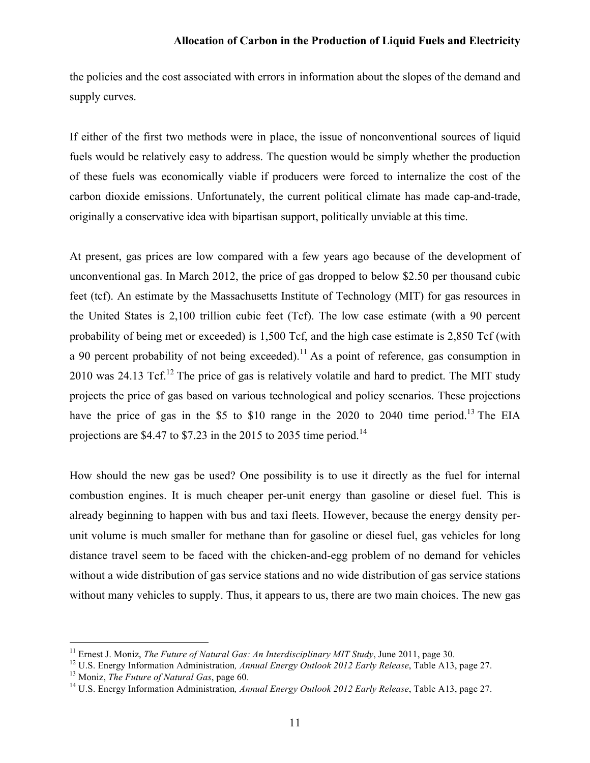the policies and the cost associated with errors in information about the slopes of the demand and supply curves.

If either of the first two methods were in place, the issue of nonconventional sources of liquid fuels would be relatively easy to address. The question would be simply whether the production of these fuels was economically viable if producers were forced to internalize the cost of the carbon dioxide emissions. Unfortunately, the current political climate has made cap-and-trade, originally a conservative idea with bipartisan support, politically unviable at this time.

At present, gas prices are low compared with a few years ago because of the development of unconventional gas. In March 2012, the price of gas dropped to below \$2.50 per thousand cubic feet (tcf). An estimate by the Massachusetts Institute of Technology (MIT) for gas resources in the United States is 2,100 trillion cubic feet (Tcf). The low case estimate (with a 90 percent probability of being met or exceeded) is 1,500 Tcf, and the high case estimate is 2,850 Tcf (with a 90 percent probability of not being exceeded).<sup>11</sup> As a point of reference, gas consumption in 2010 was 24.13 Tcf.<sup>12</sup> The price of gas is relatively volatile and hard to predict. The MIT study projects the price of gas based on various technological and policy scenarios. These projections have the price of gas in the \$5 to \$10 range in the 2020 to 2040 time period.<sup>13</sup> The EIA projections are \$4.47 to \$7.23 in the 2015 to 2035 time period.<sup>14</sup>

How should the new gas be used? One possibility is to use it directly as the fuel for internal combustion engines. It is much cheaper per-unit energy than gasoline or diesel fuel. This is already beginning to happen with bus and taxi fleets. However, because the energy density perunit volume is much smaller for methane than for gasoline or diesel fuel, gas vehicles for long distance travel seem to be faced with the chicken-and-egg problem of no demand for vehicles without a wide distribution of gas service stations and no wide distribution of gas service stations without many vehicles to supply. Thus, it appears to us, there are two main choices. The new gas

 <sup>11</sup> Ernest J. Moniz, *The Future of Natural Gas: An Interdisciplinary MIT Study*, June 2011, page 30.

<sup>12</sup> U.S. Energy Information Administration*, Annual Energy Outlook 2012 Early Release*, Table A13, page 27.

<sup>13</sup> Moniz, *The Future of Natural Gas*, page 60.

<sup>14</sup> U.S. Energy Information Administration*, Annual Energy Outlook 2012 Early Release*, Table A13, page 27.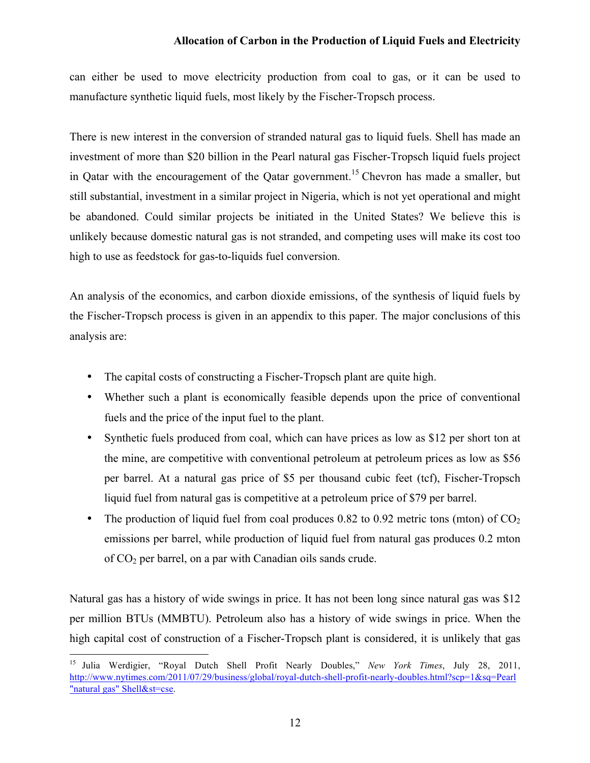can either be used to move electricity production from coal to gas, or it can be used to manufacture synthetic liquid fuels, most likely by the Fischer-Tropsch process.

There is new interest in the conversion of stranded natural gas to liquid fuels. Shell has made an investment of more than \$20 billion in the Pearl natural gas Fischer-Tropsch liquid fuels project in Qatar with the encouragement of the Qatar government.<sup>15</sup> Chevron has made a smaller, but still substantial, investment in a similar project in Nigeria, which is not yet operational and might be abandoned. Could similar projects be initiated in the United States? We believe this is unlikely because domestic natural gas is not stranded, and competing uses will make its cost too high to use as feedstock for gas-to-liquids fuel conversion.

An analysis of the economics, and carbon dioxide emissions, of the synthesis of liquid fuels by the Fischer-Tropsch process is given in an appendix to this paper. The major conclusions of this analysis are:

- The capital costs of constructing a Fischer-Tropsch plant are quite high.
- Whether such a plant is economically feasible depends upon the price of conventional fuels and the price of the input fuel to the plant.
- Synthetic fuels produced from coal, which can have prices as low as \$12 per short ton at the mine, are competitive with conventional petroleum at petroleum prices as low as \$56 per barrel. At a natural gas price of \$5 per thousand cubic feet (tcf), Fischer-Tropsch liquid fuel from natural gas is competitive at a petroleum price of \$79 per barrel.
- The production of liquid fuel from coal produces 0.82 to 0.92 metric tons (mton) of  $CO<sub>2</sub>$ emissions per barrel, while production of liquid fuel from natural gas produces 0.2 mton of  $CO<sub>2</sub>$  per barrel, on a par with Canadian oils sands crude.

Natural gas has a history of wide swings in price. It has not been long since natural gas was \$12 per million BTUs (MMBTU). Petroleum also has a history of wide swings in price. When the high capital cost of construction of a Fischer-Tropsch plant is considered, it is unlikely that gas

 <sup>15</sup> Julia Werdigier, "Royal Dutch Shell Profit Nearly Doubles," *New York Times*, July 28, 2011, http://www.nytimes.com/2011/07/29/business/global/royal-dutch-shell-profit-nearly-doubles.html?scp=1&sq=Pearl "natural gas" Shell&st=cse.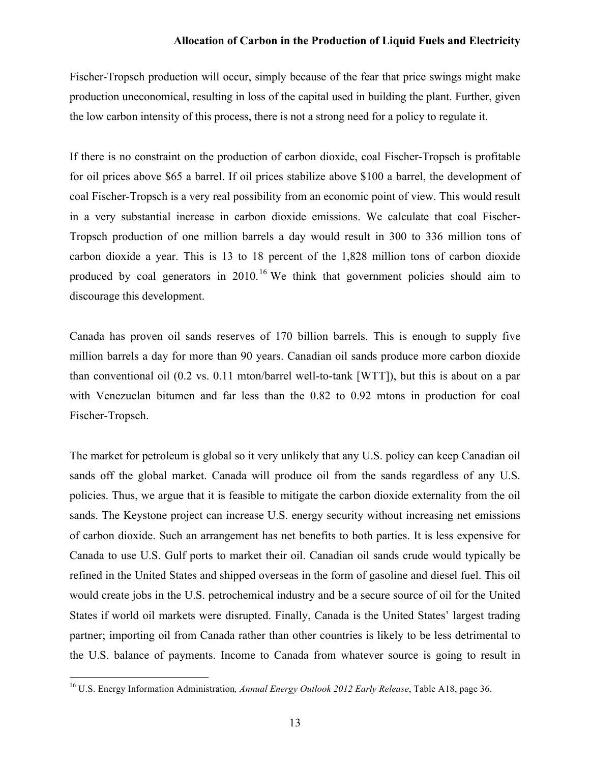Fischer-Tropsch production will occur, simply because of the fear that price swings might make production uneconomical, resulting in loss of the capital used in building the plant. Further, given the low carbon intensity of this process, there is not a strong need for a policy to regulate it.

If there is no constraint on the production of carbon dioxide, coal Fischer-Tropsch is profitable for oil prices above \$65 a barrel. If oil prices stabilize above \$100 a barrel, the development of coal Fischer-Tropsch is a very real possibility from an economic point of view. This would result in a very substantial increase in carbon dioxide emissions. We calculate that coal Fischer-Tropsch production of one million barrels a day would result in 300 to 336 million tons of carbon dioxide a year. This is 13 to 18 percent of the 1,828 million tons of carbon dioxide produced by coal generators in  $2010<sup>16</sup>$  We think that government policies should aim to discourage this development.

Canada has proven oil sands reserves of 170 billion barrels. This is enough to supply five million barrels a day for more than 90 years. Canadian oil sands produce more carbon dioxide than conventional oil (0.2 vs. 0.11 mton/barrel well-to-tank [WTT]), but this is about on a par with Venezuelan bitumen and far less than the 0.82 to 0.92 mtons in production for coal Fischer-Tropsch.

The market for petroleum is global so it very unlikely that any U.S. policy can keep Canadian oil sands off the global market. Canada will produce oil from the sands regardless of any U.S. policies. Thus, we argue that it is feasible to mitigate the carbon dioxide externality from the oil sands. The Keystone project can increase U.S. energy security without increasing net emissions of carbon dioxide. Such an arrangement has net benefits to both parties. It is less expensive for Canada to use U.S. Gulf ports to market their oil. Canadian oil sands crude would typically be refined in the United States and shipped overseas in the form of gasoline and diesel fuel. This oil would create jobs in the U.S. petrochemical industry and be a secure source of oil for the United States if world oil markets were disrupted. Finally, Canada is the United States' largest trading partner; importing oil from Canada rather than other countries is likely to be less detrimental to the U.S. balance of payments. Income to Canada from whatever source is going to result in

 <sup>16</sup> U.S. Energy Information Administration*, Annual Energy Outlook 2012 Early Release*, Table A18, page 36.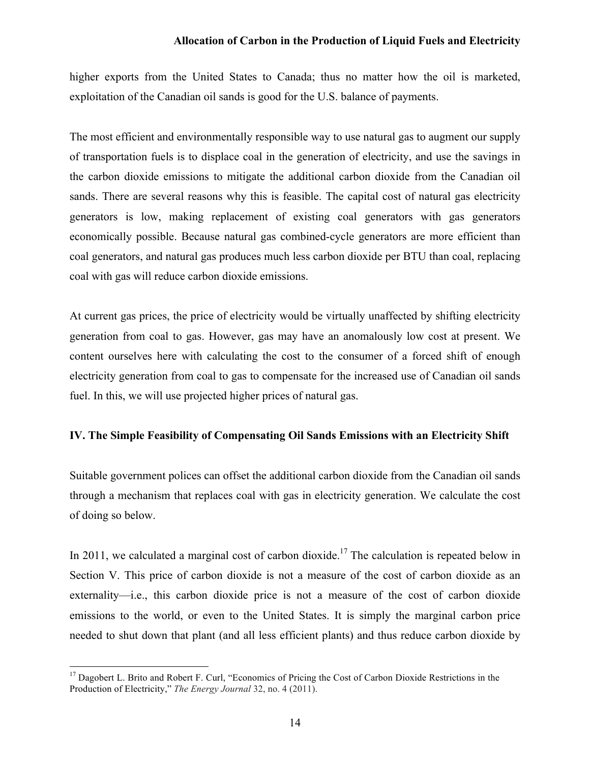higher exports from the United States to Canada; thus no matter how the oil is marketed, exploitation of the Canadian oil sands is good for the U.S. balance of payments.

The most efficient and environmentally responsible way to use natural gas to augment our supply of transportation fuels is to displace coal in the generation of electricity, and use the savings in the carbon dioxide emissions to mitigate the additional carbon dioxide from the Canadian oil sands. There are several reasons why this is feasible. The capital cost of natural gas electricity generators is low, making replacement of existing coal generators with gas generators economically possible. Because natural gas combined-cycle generators are more efficient than coal generators, and natural gas produces much less carbon dioxide per BTU than coal, replacing coal with gas will reduce carbon dioxide emissions.

At current gas prices, the price of electricity would be virtually unaffected by shifting electricity generation from coal to gas. However, gas may have an anomalously low cost at present. We content ourselves here with calculating the cost to the consumer of a forced shift of enough electricity generation from coal to gas to compensate for the increased use of Canadian oil sands fuel. In this, we will use projected higher prices of natural gas.

# **IV. The Simple Feasibility of Compensating Oil Sands Emissions with an Electricity Shift**

Suitable government polices can offset the additional carbon dioxide from the Canadian oil sands through a mechanism that replaces coal with gas in electricity generation. We calculate the cost of doing so below.

In 2011, we calculated a marginal cost of carbon dioxide.<sup>17</sup> The calculation is repeated below in Section V. This price of carbon dioxide is not a measure of the cost of carbon dioxide as an externality—i.e., this carbon dioxide price is not a measure of the cost of carbon dioxide emissions to the world, or even to the United States. It is simply the marginal carbon price needed to shut down that plant (and all less efficient plants) and thus reduce carbon dioxide by

<sup>&</sup>lt;sup>17</sup> Dagobert L. Brito and Robert F. Curl, "Economics of Pricing the Cost of Carbon Dioxide Restrictions in the Production of Electricity," *The Energy Journal* 32, no. 4 (2011).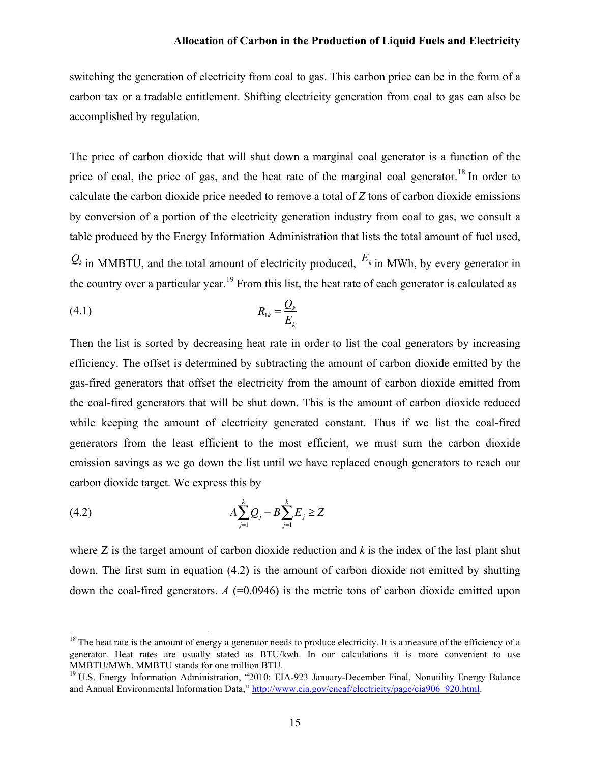switching the generation of electricity from coal to gas. This carbon price can be in the form of a carbon tax or a tradable entitlement. Shifting electricity generation from coal to gas can also be accomplished by regulation.

The price of carbon dioxide that will shut down a marginal coal generator is a function of the price of coal, the price of gas, and the heat rate of the marginal coal generator.<sup>18</sup> In order to calculate the carbon dioxide price needed to remove a total of *Z* tons of carbon dioxide emissions by conversion of a portion of the electricity generation industry from coal to gas, we consult a table produced by the Energy Information Administration that lists the total amount of fuel used,

 $Q_k$  in MMBTU, and the total amount of electricity produced,  $E_k$  in MWh, by every generator in the country over a particular year.<sup>19</sup> From this list, the heat rate of each generator is calculated as

$$
(4.1) \t R_{1k} = \frac{Q_k}{E_k}
$$

Then the list is sorted by decreasing heat rate in order to list the coal generators by increasing efficiency. The offset is determined by subtracting the amount of carbon dioxide emitted by the gas-fired generators that offset the electricity from the amount of carbon dioxide emitted from the coal-fired generators that will be shut down. This is the amount of carbon dioxide reduced while keeping the amount of electricity generated constant. Thus if we list the coal-fired generators from the least efficient to the most efficient, we must sum the carbon dioxide emission savings as we go down the list until we have replaced enough generators to reach our carbon dioxide target. We express this by

(4.2) 
$$
A \sum_{j=1}^{k} Q_j - B \sum_{j=1}^{k} E_j \ge Z
$$

where Z is the target amount of carbon dioxide reduction and *k* is the index of the last plant shut down. The first sum in equation (4.2) is the amount of carbon dioxide not emitted by shutting down the coal-fired generators.  $A$  (=0.0946) is the metric tons of carbon dioxide emitted upon

<sup>&</sup>lt;sup>18</sup> The heat rate is the amount of energy a generator needs to produce electricity. It is a measure of the efficiency of a generator. Heat rates are usually stated as BTU/kwh. In our calculations it is more convenient to use MMBTU/MWh. MMBTU stands for one million BTU.

<sup>&</sup>lt;sup>19</sup> U.S. Energy Information Administration, "2010: EIA-923 January-December Final, Nonutility Energy Balance and Annual Environmental Information Data," http://www.eia.gov/cneaf/electricity/page/eia906\_920.html.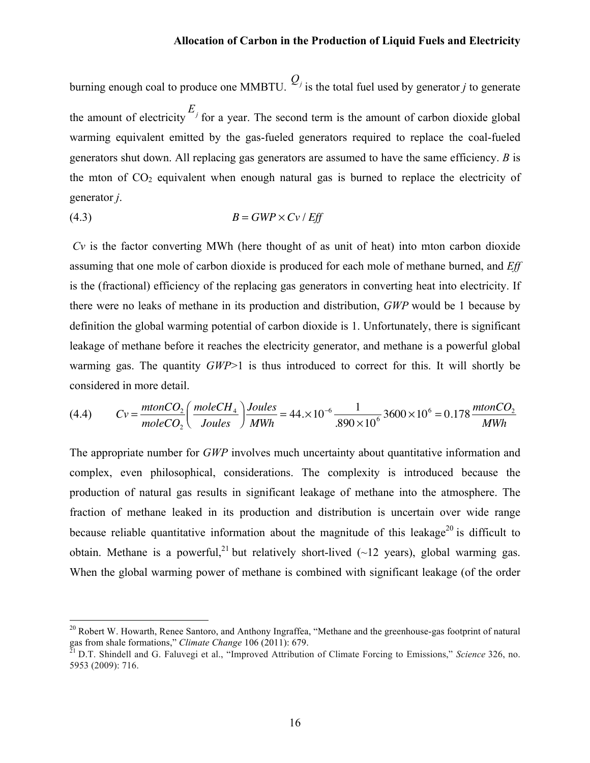burning enough coal to produce one MMBTU.  $Q_j$  is the total fuel used by generator *j* to generate the amount of electricity  $E_j$  for a year. The second term is the amount of carbon dioxide global warming equivalent emitted by the gas-fueled generators required to replace the coal-fueled generators shut down. All replacing gas generators are assumed to have the same efficiency. *B* is the mton of  $CO<sub>2</sub>$  equivalent when enough natural gas is burned to replace the electricity of generator *j*.

$$
(4.3) \t\t\t B = GWP \times Cv / Eff
$$

*Cv* is the factor converting MWh (here thought of as unit of heat) into mton carbon dioxide assuming that one mole of carbon dioxide is produced for each mole of methane burned, and *Eff* is the (fractional) efficiency of the replacing gas generators in converting heat into electricity. If there were no leaks of methane in its production and distribution, *GWP* would be 1 because by definition the global warming potential of carbon dioxide is 1. Unfortunately, there is significant leakage of methane before it reaches the electricity generator, and methane is a powerful global warming gas. The quantity *GWP*>1 is thus introduced to correct for this. It will shortly be considered in more detail.

(4.4) 
$$
Cv = \frac{mtonCO_2}{moleCO_2} \left(\frac{moleCH_4}{Joules}\right) \frac{Joules}{MWh} = 44. \times 10^{-6} \frac{1}{.890 \times 10^6} 3600 \times 10^6 = 0.178 \frac{mtonCO_2}{MWh}
$$

The appropriate number for *GWP* involves much uncertainty about quantitative information and complex, even philosophical, considerations. The complexity is introduced because the production of natural gas results in significant leakage of methane into the atmosphere. The fraction of methane leaked in its production and distribution is uncertain over wide range because reliable quantitative information about the magnitude of this leakage<sup>20</sup> is difficult to obtain. Methane is a powerful,<sup>21</sup> but relatively short-lived ( $\sim$ 12 years), global warming gas. When the global warming power of methane is combined with significant leakage (of the order

<sup>&</sup>lt;sup>20</sup> Robert W. Howarth, Renee Santoro, and Anthony Ingraffea, "Methane and the greenhouse-gas footprint of natural gas from shale formations," *Climate Change* 106 (2011): 679.

<sup>21</sup> D.T. Shindell and G. Faluvegi et al., "Improved Attribution of Climate Forcing to Emissions," *Science* 326, no. 5953 (2009): 716.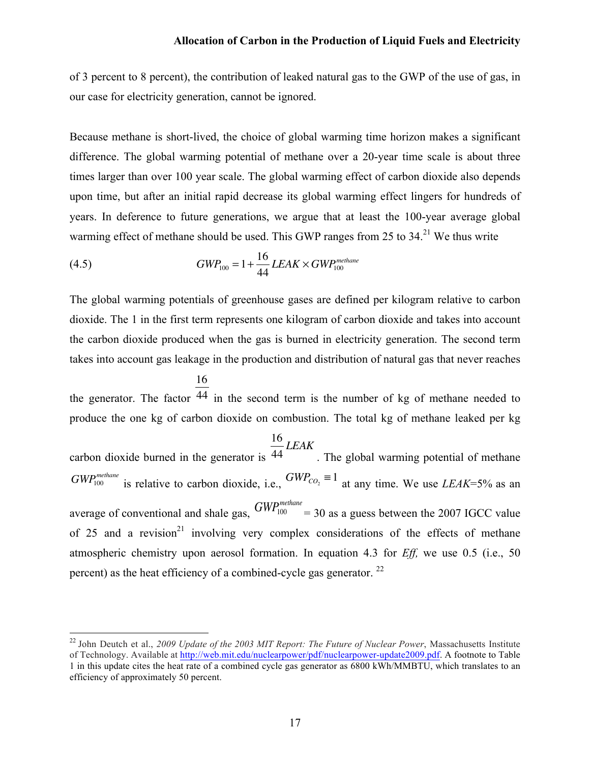of 3 percent to 8 percent), the contribution of leaked natural gas to the GWP of the use of gas, in our case for electricity generation, cannot be ignored.

Because methane is short-lived, the choice of global warming time horizon makes a significant difference. The global warming potential of methane over a 20-year time scale is about three times larger than over 100 year scale. The global warming effect of carbon dioxide also depends upon time, but after an initial rapid decrease its global warming effect lingers for hundreds of years. In deference to future generations, we argue that at least the 100-year average global warming effect of methane should be used. This GWP ranges from 25 to  $34.21$  We thus write

(4.5) 
$$
GWP_{100} = 1 + \frac{16}{44} LEAK \times GWP_{100}^{methane}
$$

The global warming potentials of greenhouse gases are defined per kilogram relative to carbon dioxide. The 1 in the first term represents one kilogram of carbon dioxide and takes into account the carbon dioxide produced when the gas is burned in electricity generation. The second term takes into account gas leakage in the production and distribution of natural gas that never reaches

the generator. The factor <sup>44</sup> in the second term is the number of kg of methane needed to 16 produce the one kg of carbon dioxide on combustion. The total kg of methane leaked per kg

carbon dioxide burned in the generator is 16 44 *LEAK* . The global warming potential of methane  $GWP_{100}^{methane}$  is relative to carbon dioxide, i.e.,  $GWP_{CO_2} \equiv 1$  at any time. We use *LEAK*=5% as an average of conventional and shale gas,  $GWP_{100}^{methane} = 30$  as a guess between the 2007 IGCC value of 25 and a revision<sup>21</sup> involving very complex considerations of the effects of methane atmospheric chemistry upon aerosol formation. In equation 4.3 for *Eff,* we use 0.5 (i.e., 50 percent) as the heat efficiency of a combined-cycle gas generator. <sup>22</sup>

 <sup>22</sup> John Deutch et al., *2009 Update of the 2003 MIT Report: The Future of Nuclear Power*, Massachusetts Institute of Technology. Available at http://web.mit.edu/nuclearpower/pdf/nuclearpower-update2009.pdf. A footnote to Table 1 in this update cites the heat rate of a combined cycle gas generator as 6800 kWh/MMBTU, which translates to an efficiency of approximately 50 percent.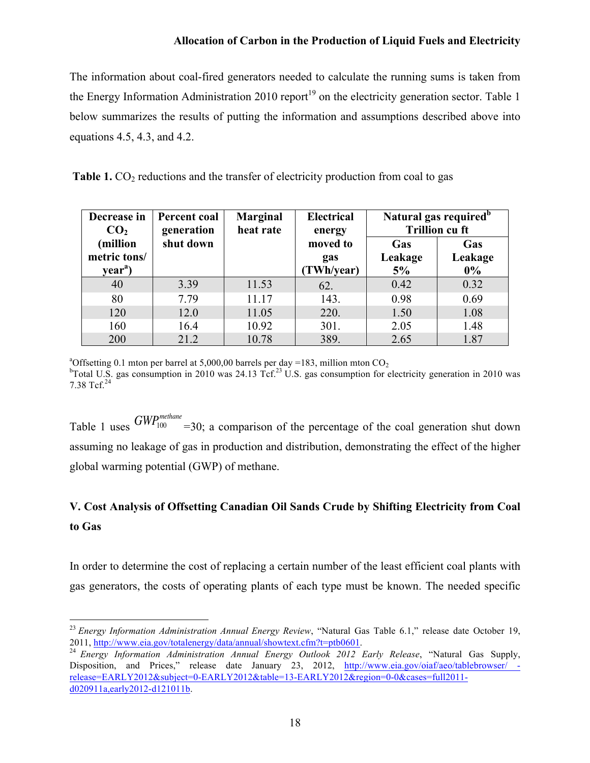The information about coal-fired generators needed to calculate the running sums is taken from the Energy Information Administration 2010 report<sup>19</sup> on the electricity generation sector. Table 1 below summarizes the results of putting the information and assumptions described above into equations 4.5, 4.3, and 4.2.

|  |  | Table 1. $CO2$ reductions and the transfer of electricity production from coal to gas |
|--|--|---------------------------------------------------------------------------------------|
|  |  |                                                                                       |

| Decrease in<br>CO <sub>2</sub> | Percent coal<br>generation | <b>Marginal</b><br>heat rate | <b>Electrical</b><br>energy | Natural gas required <sup>b</sup><br><b>Trillion cu ft</b> |                |
|--------------------------------|----------------------------|------------------------------|-----------------------------|------------------------------------------------------------|----------------|
| million)<br>metric tons/       | shut down                  |                              | moved to<br>gas             | Gas<br>Leakage                                             | Gas<br>Leakage |
| year <sup>a</sup> )            |                            |                              | (TWh/year)                  | 5%                                                         | $0\%$          |
| 40                             | 3.39                       | 11.53                        | 62.                         | 0.42                                                       | 0.32           |
| 80                             | 7.79                       | 11.17                        | 143.                        | 0.98                                                       | 0.69           |
| 120                            | 12.0                       | 11.05                        | 220.                        | 1.50                                                       | 1.08           |
| 160                            | 16.4                       | 10.92                        | 301.                        | 2.05                                                       | 1.48           |
| 200                            | 21.2                       | 10.78                        | 389.                        | 2.65                                                       | 1.87           |

<sup>a</sup>Offsetting 0.1 mton per barrel at 5,000,00 barrels per day =183, million mton  $CO<sub>2</sub>$ <br><sup>b</sup>Total U.S. ges consumption in 2010 was 24.12  $T<sup>23</sup>$  U.S. ges consumption for a

<sup>b</sup>Total U.S. gas consumption in 2010 was 24.13 Tcf.<sup>23</sup> U.S. gas consumption for electricity generation in 2010 was 7.38 Tcf.<sup>24</sup>

Table 1 uses  $GWP_{100}^{methane}$  =30; a comparison of the percentage of the coal generation shut down assuming no leakage of gas in production and distribution, demonstrating the effect of the higher global warming potential (GWP) of methane.

# **V. Cost Analysis of Offsetting Canadian Oil Sands Crude by Shifting Electricity from Coal to Gas**

In order to determine the cost of replacing a certain number of the least efficient coal plants with gas generators, the costs of operating plants of each type must be known. The needed specific

 <sup>23</sup> *Energy Information Administration Annual Energy Review*, "Natural Gas Table 6.1," release date October 19, 2011, http://www.eia.gov/totalenergy/data/annual/showtext.cfm?t=ptb0601.

<sup>24</sup> *Energy Information Administration Annual Energy Outlook 2012 Early Release*, "Natural Gas Supply, Disposition, and Prices," release date January 23, 2012, http://www.eia.gov/oiaf/aeo/tablebrowser/ release=EARLY2012&subject=0-EARLY2012&table=13-EARLY2012&region=0-0&cases=full2011d020911a,early2012-d121011b.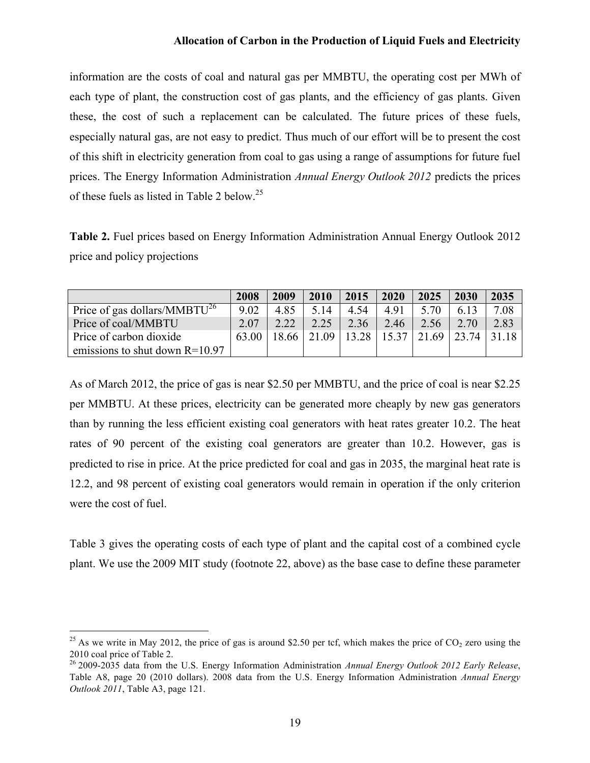information are the costs of coal and natural gas per MMBTU, the operating cost per MWh of each type of plant, the construction cost of gas plants, and the efficiency of gas plants. Given these, the cost of such a replacement can be calculated. The future prices of these fuels, especially natural gas, are not easy to predict. Thus much of our effort will be to present the cost of this shift in electricity generation from coal to gas using a range of assumptions for future fuel prices. The Energy Information Administration *Annual Energy Outlook 2012* predicts the prices of these fuels as listed in Table 2 below.<sup>25</sup>

**Table 2.** Fuel prices based on Energy Information Administration Annual Energy Outlook 2012 price and policy projections

|                                          | 2008  | 2009  | 2010  | 2015  | 2020          | 2025 | 2030  | 2035  |
|------------------------------------------|-------|-------|-------|-------|---------------|------|-------|-------|
| Price of gas dollars/MMBTU <sup>26</sup> | 9.02  | 4.85  | 5.14  | 4.54  | 4.91          | 5.70 | 6.13  | 7.08  |
| Price of coal/MMBTU                      | 2.07  | 2.22  | 2.25  | 2.36  | 2.46          | 2.56 | 2.70  | 2.83  |
| Price of carbon dioxide                  | 63.00 | 18.66 | 21.09 | 13.28 | $15.37$ 21.69 |      | 23.74 | 31.18 |
| emissions to shut down $R=10.97$         |       |       |       |       |               |      |       |       |

As of March 2012, the price of gas is near \$2.50 per MMBTU, and the price of coal is near \$2.25 per MMBTU. At these prices, electricity can be generated more cheaply by new gas generators than by running the less efficient existing coal generators with heat rates greater 10.2. The heat rates of 90 percent of the existing coal generators are greater than 10.2. However, gas is predicted to rise in price. At the price predicted for coal and gas in 2035, the marginal heat rate is 12.2, and 98 percent of existing coal generators would remain in operation if the only criterion were the cost of fuel.

Table 3 gives the operating costs of each type of plant and the capital cost of a combined cycle plant. We use the 2009 MIT study (footnote 22, above) as the base case to define these parameter

<sup>&</sup>lt;sup>25</sup> As we write in May 2012, the price of gas is around \$2.50 per tcf, which makes the price of  $CO_2$  zero using the 2010 coal price of Table 2.

<sup>26</sup> 2009-2035 data from the U.S. Energy Information Administration *Annual Energy Outlook 2012 Early Release*, Table A8, page 20 (2010 dollars). 2008 data from the U.S. Energy Information Administration *Annual Energy Outlook 2011*, Table A3, page 121.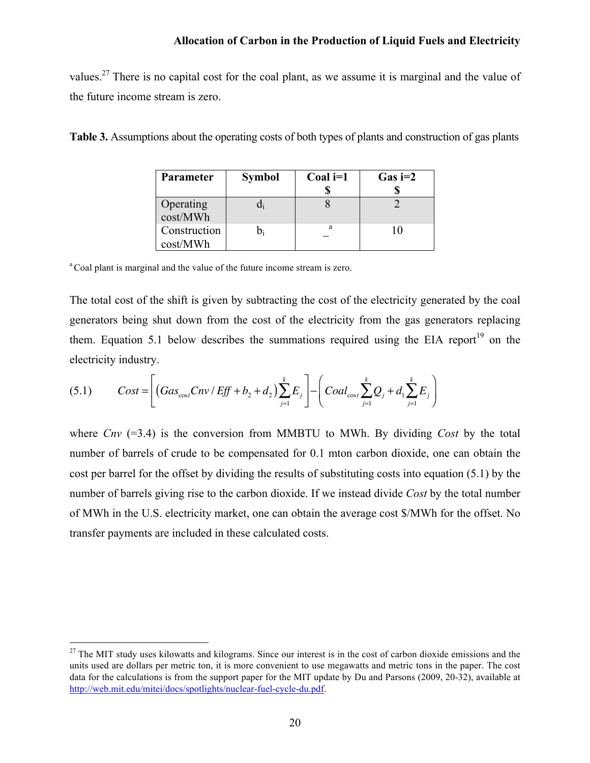values.<sup>27</sup> There is no capital cost for the coal plant, as we assume it is marginal and the value of the future income stream is zero.

| Table 3. Assumptions about the operating costs of both types of plants and construction of gas plants |  |  |  |
|-------------------------------------------------------------------------------------------------------|--|--|--|
|-------------------------------------------------------------------------------------------------------|--|--|--|

| Parameter                | <b>Symbol</b> | Coal $i=1$ | $Gas = 2$ |
|--------------------------|---------------|------------|-----------|
|                          |               |            |           |
| Operating<br>cost/MWh    |               |            |           |
| Construction<br>cost/MWh |               | a          |           |

<sup>a</sup> Coal plant is marginal and the value of the future income stream is zero.

The total cost of the shift is given by subtracting the cost of the electricity generated by the coal generators being shut down from the cost of the electricity from the gas generators replacing them. Equation 5.1 below describes the summations required using the EIA report<sup>19</sup> on the electricity industry.

(5.1) 
$$
Cost = \left[ \left( Gas_{\cos t}Cnv / Eff + b_2 + d_2 \right) \sum_{j=1}^{k} E_j \right] - \left( coal_{\cos t} \sum_{j=1}^{k} Q_j + d_1 \sum_{j=1}^{k} E_j \right)
$$

where *Cnv* (=3.4) is the conversion from MMBTU to MWh. By dividing *Cost* by the total number of barrels of crude to be compensated for 0.1 mton carbon dioxide, one can obtain the cost per barrel for the offset by dividing the results of substituting costs into equation (5.1) by the number of barrels giving rise to the carbon dioxide. If we instead divide *Cost* by the total number of MWh in the U.S. electricity market, one can obtain the average cost \$/MWh for the offset. No transfer payments are included in these calculated costs.

 $27$  The MIT study uses kilowatts and kilograms. Since our interest is in the cost of carbon dioxide emissions and the units used are dollars per metric ton, it is more convenient to use megawatts and metric tons in the paper. The cost data for the calculations is from the support paper for the MIT update by Du and Parsons (2009, 20-32), available at http://web.mit.edu/mitei/docs/spotlights/nuclear-fuel-cycle-du.pdf.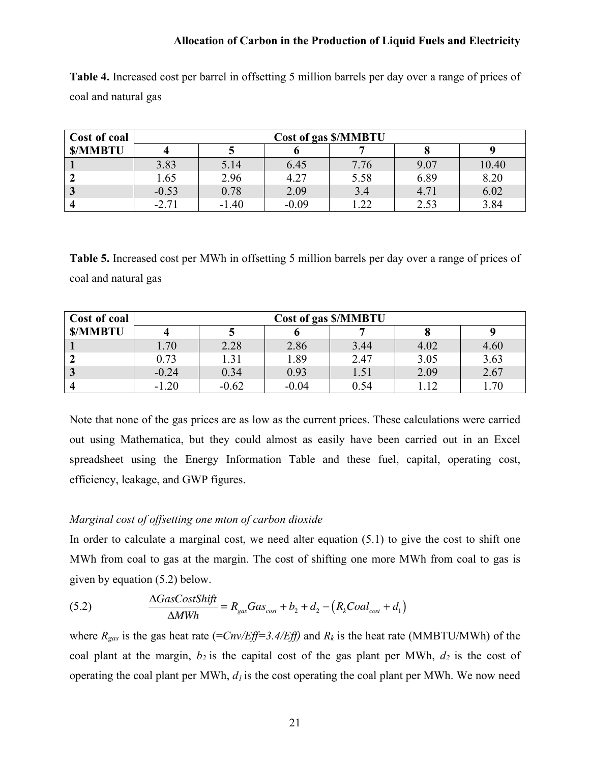**Table 4.** Increased cost per barrel in offsetting 5 million barrels per day over a range of prices of coal and natural gas

| Cost of coal            | <b>Cost of gas \$/MMBTU</b> |         |         |      |      |       |  |  |
|-------------------------|-----------------------------|---------|---------|------|------|-------|--|--|
| <b>S/MMBTU</b>          |                             |         |         |      |      |       |  |  |
|                         | 3.83                        | 5.14    | 6.45    | 7.76 | 9.07 | 10.40 |  |  |
|                         | 1.65                        | 2.96    | 4.27    | 5.58 | 6.89 | 8.20  |  |  |
| $\overline{\mathbf{3}}$ | $-0.53$                     | 0.78    | 2.09    | 3.4  | 4.71 | 6.02  |  |  |
|                         | $-2.71$                     | $-1.40$ | $-0.09$ | 1.22 | 2.53 | 3.84  |  |  |

**Table 5.** Increased cost per MWh in offsetting 5 million barrels per day over a range of prices of coal and natural gas

| Cost of coal   | Cost of gas \$/MMBTU |         |         |      |      |      |  |  |
|----------------|----------------------|---------|---------|------|------|------|--|--|
| <b>S/MMBTU</b> |                      |         |         |      |      |      |  |  |
|                | 1.70                 | 2.28    | 2.86    | 3.44 | 4.02 | 4.60 |  |  |
|                | 0.73                 | 1.31    | 1.89    | 2.47 | 3.05 | 3.63 |  |  |
|                | $-0.24$              | 0.34    | 0.93    | 1.51 | 2.09 | 2.67 |  |  |
|                | $-1.20$              | $-0.62$ | $-0.04$ | 0.54 | 12   | 1.70 |  |  |

Note that none of the gas prices are as low as the current prices. These calculations were carried out using Mathematica, but they could almost as easily have been carried out in an Excel spreadsheet using the Energy Information Table and these fuel, capital, operating cost, efficiency, leakage, and GWP figures.

# *Marginal cost of offsetting one mton of carbon dioxide*

In order to calculate a marginal cost, we need alter equation (5.1) to give the cost to shift one MWh from coal to gas at the margin. The cost of shifting one more MWh from coal to gas is given by equation (5.2) below.

(5.2) 
$$
\frac{\Delta GasCostShift}{\Delta MWh} = R_{gas} Gas_{cost} + b_2 + d_2 - (R_kCoal_{cost} + d_1)
$$

where  $R_{gas}$  is the gas heat rate (= $Cnv/Eff=3.4/Eff$ ) and  $R_k$  is the heat rate (MMBTU/MWh) of the coal plant at the margin,  $b_2$  is the capital cost of the gas plant per MWh,  $d_2$  is the cost of operating the coal plant per MWh,  $d_l$  is the cost operating the coal plant per MWh. We now need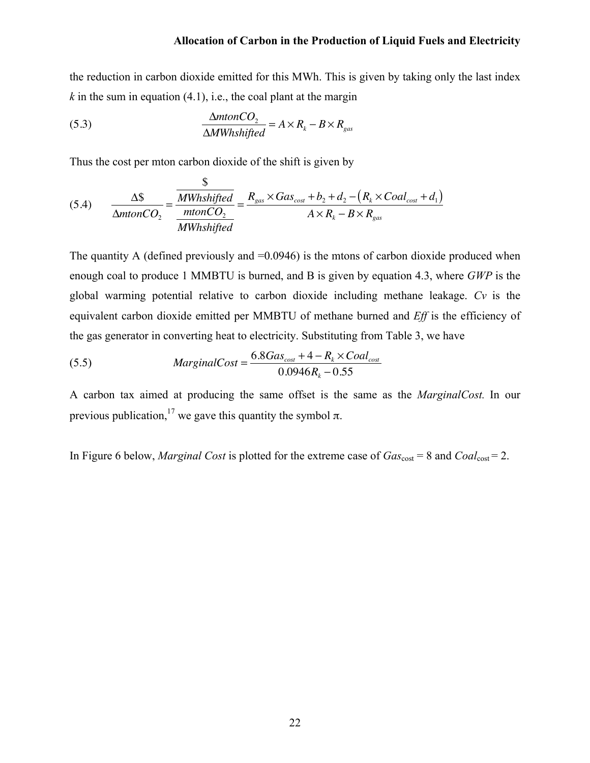the reduction in carbon dioxide emitted for this MWh. This is given by taking only the last index  $k$  in the sum in equation (4.1), i.e., the coal plant at the margin

(5.3) 
$$
\frac{\Delta mtonCO_2}{\Delta MWhshifted} = A \times R_k - B \times R_{gas}
$$

Thus the cost per mton carbon dioxide of the shift is given by

 $\ddot{\sigma}$ 

(5.4) 
$$
\frac{\Delta \$}{\Delta mtonCO_2} = \frac{\frac{\$}{MWhshifted}}{\frac{mtonCO_2}{MWhshifted}} = \frac{R_{gas} \times Gas_{cost} + b_2 + d_2 - (R_k \times coal_{cost} + d_1)}{A \times R_k - B \times R_{gas}}
$$

The quantity A (defined previously and  $=0.0946$ ) is the mtons of carbon dioxide produced when enough coal to produce 1 MMBTU is burned, and B is given by equation 4.3, where *GWP* is the global warming potential relative to carbon dioxide including methane leakage. *Cv* is the equivalent carbon dioxide emitted per MMBTU of methane burned and *Eff* is the efficiency of the gas generator in converting heat to electricity. Substituting from Table 3, we have

(5.5) 
$$
MarginalCost = \frac{6.8Gas_{cost} + 4 - R_k \times Cool_{cost}}{0.0946R_k - 0.55}
$$

A carbon tax aimed at producing the same offset is the same as the *MarginalCost.* In our previous publication,<sup>17</sup> we gave this quantity the symbol  $\pi$ .

In Figure 6 below, *Marginal Cost* is plotted for the extreme case of  $Gas<sub>cost</sub> = 8$  and  $Coal<sub>cost</sub> = 2$ .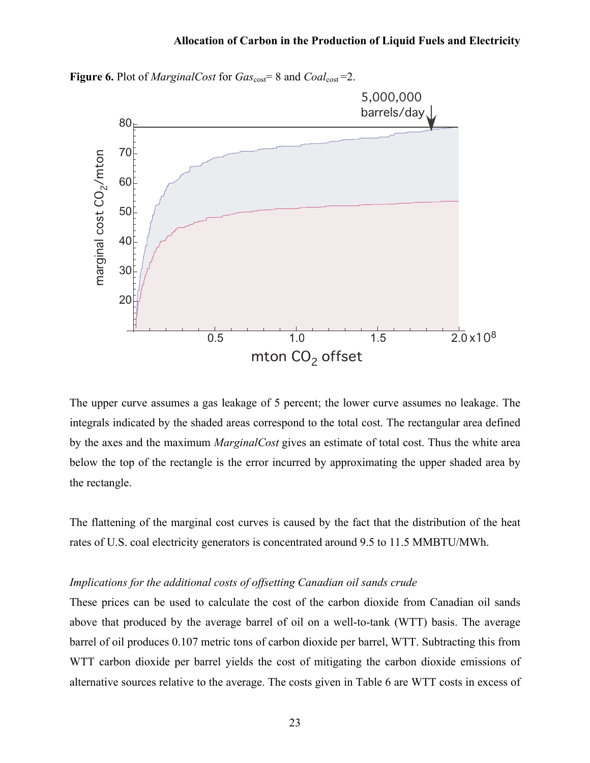

**Figure 6.** Plot of *MarginalCost* for  $Gas<sub>cost</sub> = 8$  and  $Coal<sub>cost</sub> = 2$ .

The upper curve assumes a gas leakage of 5 percent; the lower curve assumes no leakage. The integrals indicated by the shaded areas correspond to the total cost. The rectangular area defined by the axes and the maximum *MarginalCost* gives an estimate of total cost. Thus the white area below the top of the rectangle is the error incurred by approximating the upper shaded area by the rectangle.

The flattening of the marginal cost curves is caused by the fact that the distribution of the heat rates of U.S. coal electricity generators is concentrated around 9.5 to 11.5 MMBTU/MWh.

#### *Implications for the additional costs of offsetting Canadian oil sands crude*

These prices can be used to calculate the cost of the carbon dioxide from Canadian oil sands above that produced by the average barrel of oil on a well-to-tank (WTT) basis. The average barrel of oil produces 0.107 metric tons of carbon dioxide per barrel, WTT. Subtracting this from WTT carbon dioxide per barrel yields the cost of mitigating the carbon dioxide emissions of alternative sources relative to the average. The costs given in Table 6 are WTT costs in excess of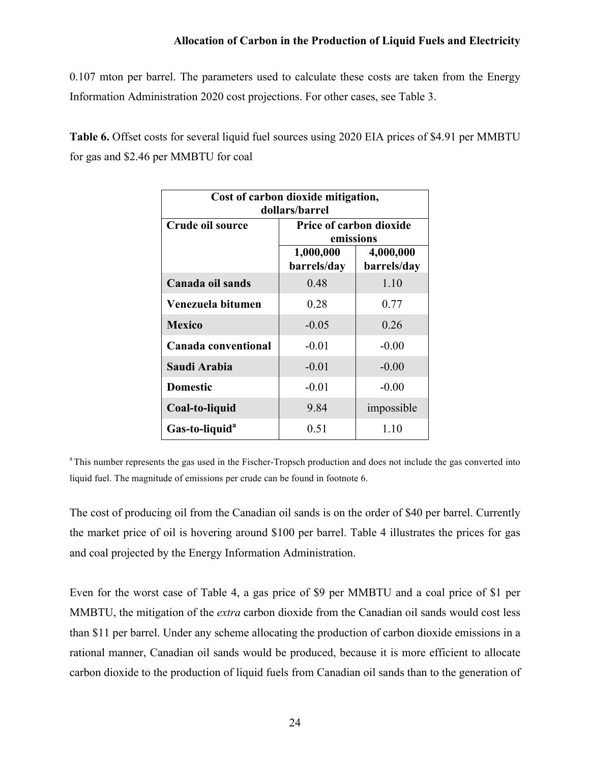0.107 mton per barrel. The parameters used to calculate these costs are taken from the Energy Information Administration 2020 cost projections. For other cases, see Table 3.

**Table 6.** Offset costs for several liquid fuel sources using 2020 EIA prices of \$4.91 per MMBTU for gas and \$2.46 per MMBTU for coal

| Cost of carbon dioxide mitigation,<br>dollars/barrel |                                                                                                     |      |  |  |  |  |
|------------------------------------------------------|-----------------------------------------------------------------------------------------------------|------|--|--|--|--|
| Crude oil source                                     | <b>Price of carbon dioxide</b><br>emissions<br>1,000,000<br>4,000,000<br>barrels/day<br>barrels/day |      |  |  |  |  |
|                                                      |                                                                                                     |      |  |  |  |  |
| Canada oil sands                                     | 0.48                                                                                                | 1.10 |  |  |  |  |
| Venezuela bitumen                                    | 0.28                                                                                                | 0.77 |  |  |  |  |
| <b>Mexico</b>                                        | $-0.05$<br>0.26                                                                                     |      |  |  |  |  |
| Canada conventional                                  | $-0.01$<br>$-0.00$                                                                                  |      |  |  |  |  |
| Saudi Arabia                                         | $-0.01$<br>$-0.00$                                                                                  |      |  |  |  |  |
| <b>Domestic</b>                                      | $-0.01$<br>$-0.00$                                                                                  |      |  |  |  |  |
| Coal-to-liquid                                       | impossible<br>9.84                                                                                  |      |  |  |  |  |
| Gas-to-liquid <sup>a</sup>                           | 0.51                                                                                                | 1.10 |  |  |  |  |

<sup>a</sup> This number represents the gas used in the Fischer-Tropsch production and does not include the gas converted into liquid fuel. The magnitude of emissions per crude can be found in footnote 6.

The cost of producing oil from the Canadian oil sands is on the order of \$40 per barrel. Currently the market price of oil is hovering around \$100 per barrel. Table 4 illustrates the prices for gas and coal projected by the Energy Information Administration.

Even for the worst case of Table 4, a gas price of \$9 per MMBTU and a coal price of \$1 per MMBTU, the mitigation of the *extra* carbon dioxide from the Canadian oil sands would cost less than \$11 per barrel. Under any scheme allocating the production of carbon dioxide emissions in a rational manner, Canadian oil sands would be produced, because it is more efficient to allocate carbon dioxide to the production of liquid fuels from Canadian oil sands than to the generation of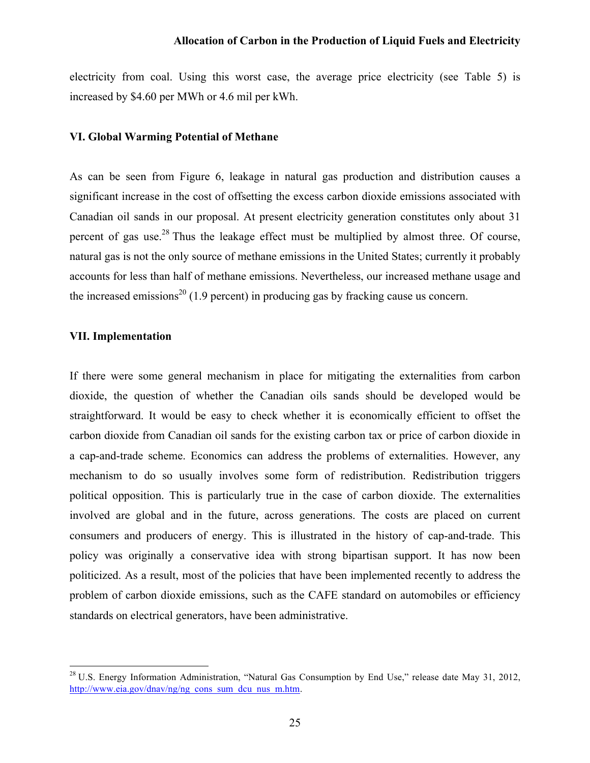electricity from coal. Using this worst case, the average price electricity (see Table 5) is increased by \$4.60 per MWh or 4.6 mil per kWh.

#### **VI. Global Warming Potential of Methane**

As can be seen from Figure 6, leakage in natural gas production and distribution causes a significant increase in the cost of offsetting the excess carbon dioxide emissions associated with Canadian oil sands in our proposal. At present electricity generation constitutes only about 31 percent of gas use.<sup>28</sup> Thus the leakage effect must be multiplied by almost three. Of course, natural gas is not the only source of methane emissions in the United States; currently it probably accounts for less than half of methane emissions. Nevertheless, our increased methane usage and the increased emissions<sup>20</sup> (1.9 percent) in producing gas by fracking cause us concern.

#### **VII. Implementation**

If there were some general mechanism in place for mitigating the externalities from carbon dioxide, the question of whether the Canadian oils sands should be developed would be straightforward. It would be easy to check whether it is economically efficient to offset the carbon dioxide from Canadian oil sands for the existing carbon tax or price of carbon dioxide in a cap-and-trade scheme. Economics can address the problems of externalities. However, any mechanism to do so usually involves some form of redistribution. Redistribution triggers political opposition. This is particularly true in the case of carbon dioxide. The externalities involved are global and in the future, across generations. The costs are placed on current consumers and producers of energy. This is illustrated in the history of cap-and-trade. This policy was originally a conservative idea with strong bipartisan support. It has now been politicized. As a result, most of the policies that have been implemented recently to address the problem of carbon dioxide emissions, such as the CAFE standard on automobiles or efficiency standards on electrical generators, have been administrative.

<sup>&</sup>lt;sup>28</sup> U.S. Energy Information Administration, "Natural Gas Consumption by End Use," release date May 31, 2012, http://www.eia.gov/dnav/ng/ng\_cons\_sum\_dcu\_nus\_m.htm.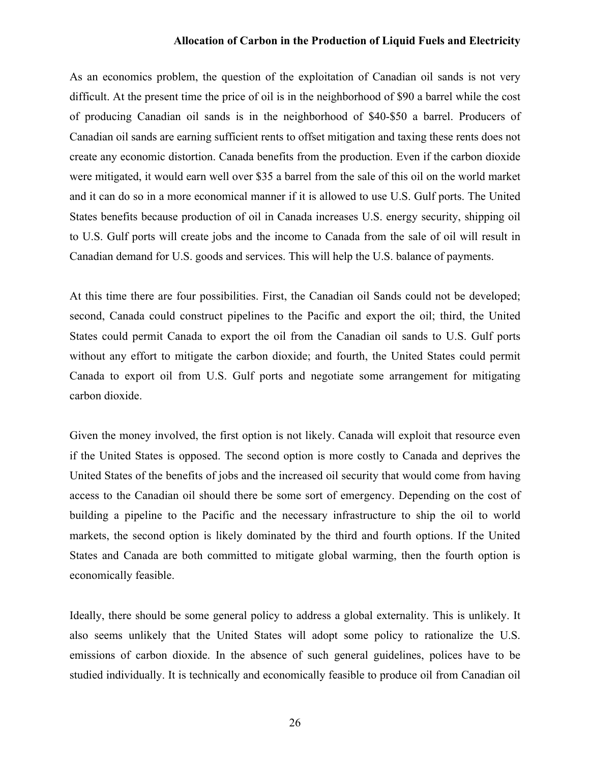As an economics problem, the question of the exploitation of Canadian oil sands is not very difficult. At the present time the price of oil is in the neighborhood of \$90 a barrel while the cost of producing Canadian oil sands is in the neighborhood of \$40-\$50 a barrel. Producers of Canadian oil sands are earning sufficient rents to offset mitigation and taxing these rents does not create any economic distortion. Canada benefits from the production. Even if the carbon dioxide were mitigated, it would earn well over \$35 a barrel from the sale of this oil on the world market and it can do so in a more economical manner if it is allowed to use U.S. Gulf ports. The United States benefits because production of oil in Canada increases U.S. energy security, shipping oil to U.S. Gulf ports will create jobs and the income to Canada from the sale of oil will result in Canadian demand for U.S. goods and services. This will help the U.S. balance of payments.

At this time there are four possibilities. First, the Canadian oil Sands could not be developed; second, Canada could construct pipelines to the Pacific and export the oil; third, the United States could permit Canada to export the oil from the Canadian oil sands to U.S. Gulf ports without any effort to mitigate the carbon dioxide; and fourth, the United States could permit Canada to export oil from U.S. Gulf ports and negotiate some arrangement for mitigating carbon dioxide.

Given the money involved, the first option is not likely. Canada will exploit that resource even if the United States is opposed. The second option is more costly to Canada and deprives the United States of the benefits of jobs and the increased oil security that would come from having access to the Canadian oil should there be some sort of emergency. Depending on the cost of building a pipeline to the Pacific and the necessary infrastructure to ship the oil to world markets, the second option is likely dominated by the third and fourth options. If the United States and Canada are both committed to mitigate global warming, then the fourth option is economically feasible.

Ideally, there should be some general policy to address a global externality. This is unlikely. It also seems unlikely that the United States will adopt some policy to rationalize the U.S. emissions of carbon dioxide. In the absence of such general guidelines, polices have to be studied individually. It is technically and economically feasible to produce oil from Canadian oil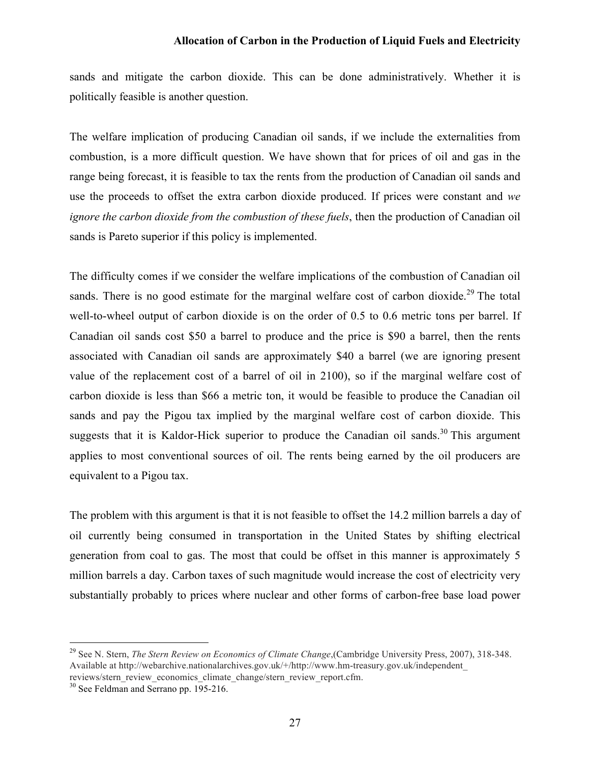sands and mitigate the carbon dioxide. This can be done administratively. Whether it is politically feasible is another question.

The welfare implication of producing Canadian oil sands, if we include the externalities from combustion, is a more difficult question. We have shown that for prices of oil and gas in the range being forecast, it is feasible to tax the rents from the production of Canadian oil sands and use the proceeds to offset the extra carbon dioxide produced. If prices were constant and *we ignore the carbon dioxide from the combustion of these fuels*, then the production of Canadian oil sands is Pareto superior if this policy is implemented.

The difficulty comes if we consider the welfare implications of the combustion of Canadian oil sands. There is no good estimate for the marginal welfare cost of carbon dioxide.<sup>29</sup> The total well-to-wheel output of carbon dioxide is on the order of 0.5 to 0.6 metric tons per barrel. If Canadian oil sands cost \$50 a barrel to produce and the price is \$90 a barrel, then the rents associated with Canadian oil sands are approximately \$40 a barrel (we are ignoring present value of the replacement cost of a barrel of oil in 2100), so if the marginal welfare cost of carbon dioxide is less than \$66 a metric ton, it would be feasible to produce the Canadian oil sands and pay the Pigou tax implied by the marginal welfare cost of carbon dioxide. This suggests that it is Kaldor-Hick superior to produce the Canadian oil sands.<sup>30</sup> This argument applies to most conventional sources of oil. The rents being earned by the oil producers are equivalent to a Pigou tax.

The problem with this argument is that it is not feasible to offset the 14.2 million barrels a day of oil currently being consumed in transportation in the United States by shifting electrical generation from coal to gas. The most that could be offset in this manner is approximately 5 million barrels a day. Carbon taxes of such magnitude would increase the cost of electricity very substantially probably to prices where nuclear and other forms of carbon-free base load power

 <sup>29</sup> See N. Stern, *The Stern Review on Economics of Climate Change*,(Cambridge University Press, 2007), 318-348. Available at http://webarchive.nationalarchives.gov.uk/+/http://www.hm-treasury.gov.uk/independent\_ reviews/stern\_review\_economics\_climate\_change/stern\_review\_report.cfm.

<sup>&</sup>lt;sup>30</sup> See Feldman and Serrano pp. 195-216.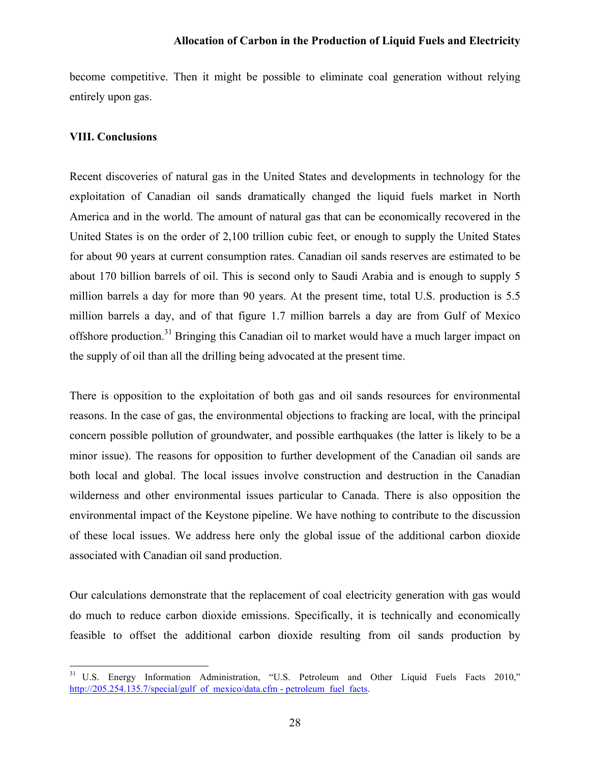become competitive. Then it might be possible to eliminate coal generation without relying entirely upon gas.

#### **VIII. Conclusions**

Recent discoveries of natural gas in the United States and developments in technology for the exploitation of Canadian oil sands dramatically changed the liquid fuels market in North America and in the world. The amount of natural gas that can be economically recovered in the United States is on the order of 2,100 trillion cubic feet, or enough to supply the United States for about 90 years at current consumption rates. Canadian oil sands reserves are estimated to be about 170 billion barrels of oil. This is second only to Saudi Arabia and is enough to supply 5 million barrels a day for more than 90 years. At the present time, total U.S. production is 5.5 million barrels a day, and of that figure 1.7 million barrels a day are from Gulf of Mexico offshore production.<sup>31</sup> Bringing this Canadian oil to market would have a much larger impact on the supply of oil than all the drilling being advocated at the present time.

There is opposition to the exploitation of both gas and oil sands resources for environmental reasons. In the case of gas, the environmental objections to fracking are local, with the principal concern possible pollution of groundwater, and possible earthquakes (the latter is likely to be a minor issue). The reasons for opposition to further development of the Canadian oil sands are both local and global. The local issues involve construction and destruction in the Canadian wilderness and other environmental issues particular to Canada. There is also opposition the environmental impact of the Keystone pipeline. We have nothing to contribute to the discussion of these local issues. We address here only the global issue of the additional carbon dioxide associated with Canadian oil sand production.

Our calculations demonstrate that the replacement of coal electricity generation with gas would do much to reduce carbon dioxide emissions. Specifically, it is technically and economically feasible to offset the additional carbon dioxide resulting from oil sands production by

<sup>&</sup>lt;sup>31</sup> U.S. Energy Information Administration, "U.S. Petroleum and Other Liquid Fuels Facts 2010," http://205.254.135.7/special/gulf\_of\_mexico/data.cfm - petroleum\_fuel\_facts.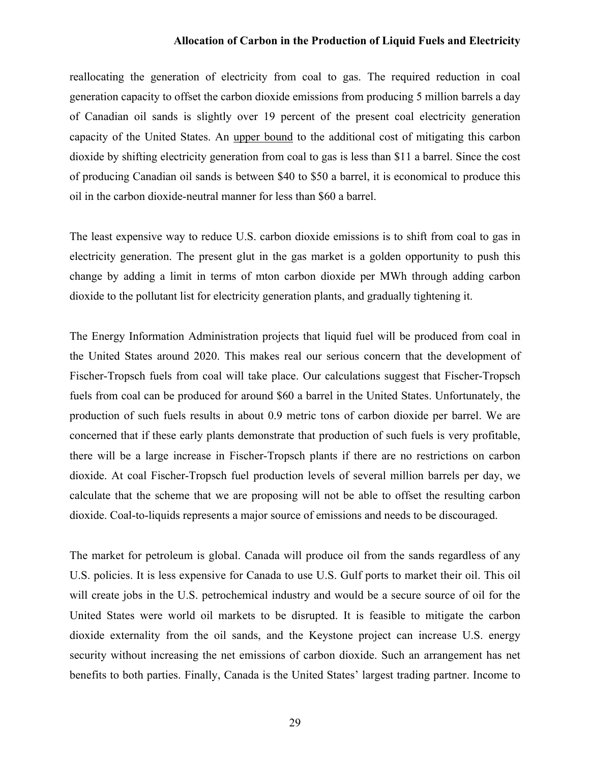reallocating the generation of electricity from coal to gas. The required reduction in coal generation capacity to offset the carbon dioxide emissions from producing 5 million barrels a day of Canadian oil sands is slightly over 19 percent of the present coal electricity generation capacity of the United States. An upper bound to the additional cost of mitigating this carbon dioxide by shifting electricity generation from coal to gas is less than \$11 a barrel. Since the cost of producing Canadian oil sands is between \$40 to \$50 a barrel, it is economical to produce this oil in the carbon dioxide-neutral manner for less than \$60 a barrel.

The least expensive way to reduce U.S. carbon dioxide emissions is to shift from coal to gas in electricity generation. The present glut in the gas market is a golden opportunity to push this change by adding a limit in terms of mton carbon dioxide per MWh through adding carbon dioxide to the pollutant list for electricity generation plants, and gradually tightening it.

The Energy Information Administration projects that liquid fuel will be produced from coal in the United States around 2020. This makes real our serious concern that the development of Fischer-Tropsch fuels from coal will take place. Our calculations suggest that Fischer-Tropsch fuels from coal can be produced for around \$60 a barrel in the United States. Unfortunately, the production of such fuels results in about 0.9 metric tons of carbon dioxide per barrel. We are concerned that if these early plants demonstrate that production of such fuels is very profitable, there will be a large increase in Fischer-Tropsch plants if there are no restrictions on carbon dioxide. At coal Fischer-Tropsch fuel production levels of several million barrels per day, we calculate that the scheme that we are proposing will not be able to offset the resulting carbon dioxide. Coal-to-liquids represents a major source of emissions and needs to be discouraged.

The market for petroleum is global. Canada will produce oil from the sands regardless of any U.S. policies. It is less expensive for Canada to use U.S. Gulf ports to market their oil. This oil will create jobs in the U.S. petrochemical industry and would be a secure source of oil for the United States were world oil markets to be disrupted. It is feasible to mitigate the carbon dioxide externality from the oil sands, and the Keystone project can increase U.S. energy security without increasing the net emissions of carbon dioxide. Such an arrangement has net benefits to both parties. Finally, Canada is the United States' largest trading partner. Income to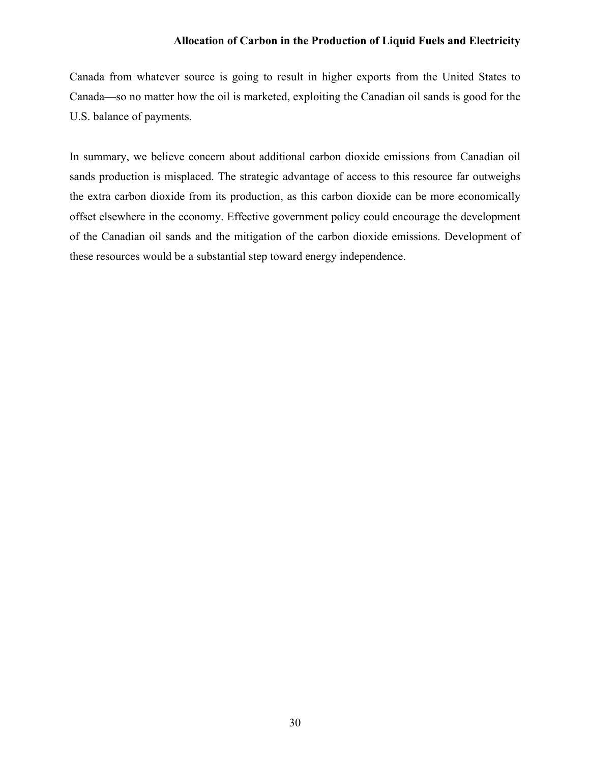Canada from whatever source is going to result in higher exports from the United States to Canada—so no matter how the oil is marketed, exploiting the Canadian oil sands is good for the U.S. balance of payments.

In summary, we believe concern about additional carbon dioxide emissions from Canadian oil sands production is misplaced. The strategic advantage of access to this resource far outweighs the extra carbon dioxide from its production, as this carbon dioxide can be more economically offset elsewhere in the economy. Effective government policy could encourage the development of the Canadian oil sands and the mitigation of the carbon dioxide emissions. Development of these resources would be a substantial step toward energy independence.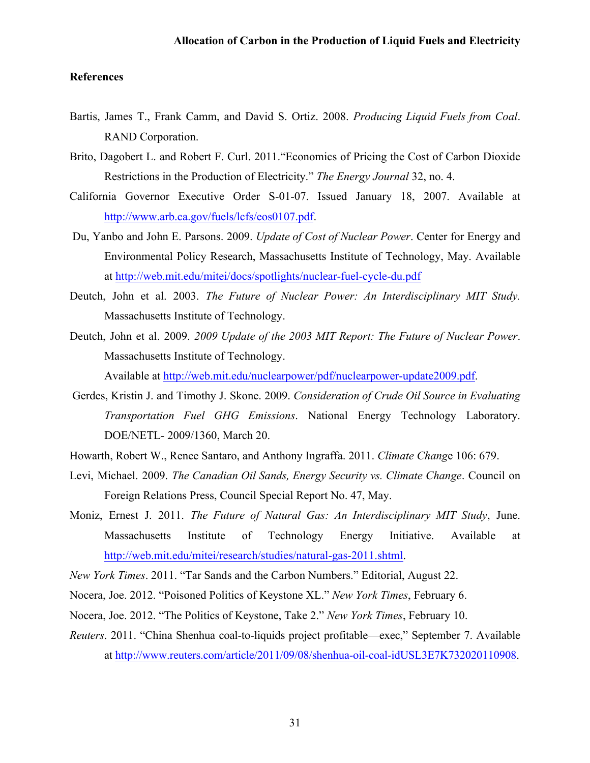#### **References**

- Bartis, James T., Frank Camm, and David S. Ortiz. 2008. *Producing Liquid Fuels from Coal*. RAND Corporation.
- Brito, Dagobert L. and Robert F. Curl. 2011."Economics of Pricing the Cost of Carbon Dioxide Restrictions in the Production of Electricity." *The Energy Journal* 32, no. 4.
- California Governor Executive Order S-01-07. Issued January 18, 2007. Available at http://www.arb.ca.gov/fuels/lcfs/eos0107.pdf.
- Du, Yanbo and John E. Parsons. 2009. *Update of Cost of Nuclear Power*. Center for Energy and Environmental Policy Research, Massachusetts Institute of Technology, May. Available at http://web.mit.edu/mitei/docs/spotlights/nuclear-fuel-cycle-du.pdf
- Deutch, John et al. 2003. *The Future of Nuclear Power: An Interdisciplinary MIT Study.*  Massachusetts Institute of Technology.
- Deutch, John et al. 2009. *2009 Update of the 2003 MIT Report: The Future of Nuclear Power*. Massachusetts Institute of Technology.

Available at http://web.mit.edu/nuclearpower/pdf/nuclearpower-update2009.pdf.

- Gerdes, Kristin J. and Timothy J. Skone. 2009. *Consideration of Crude Oil Source in Evaluating Transportation Fuel GHG Emissions*. National Energy Technology Laboratory. DOE/NETL- 2009/1360, March 20.
- Howarth, Robert W., Renee Santaro, and Anthony Ingraffa. 2011. *Climate Chang*e 106: 679.
- Levi, Michael. 2009. *The Canadian Oil Sands, Energy Security vs. Climate Change*. Council on Foreign Relations Press, Council Special Report No. 47, May.
- Moniz, Ernest J. 2011. *The Future of Natural Gas: An Interdisciplinary MIT Study*, June. Massachusetts Institute of Technology Energy Initiative. Available at http://web.mit.edu/mitei/research/studies/natural-gas-2011.shtml.
- *New York Times*. 2011. "Tar Sands and the Carbon Numbers." Editorial, August 22.
- Nocera, Joe. 2012. "Poisoned Politics of Keystone XL." *New York Times*, February 6.
- Nocera, Joe. 2012. "The Politics of Keystone, Take 2." *New York Times*, February 10.
- *Reuters*. 2011. "China Shenhua coal-to-liquids project profitable—exec," September 7. Available at http://www.reuters.com/article/2011/09/08/shenhua-oil-coal-idUSL3E7K732020110908.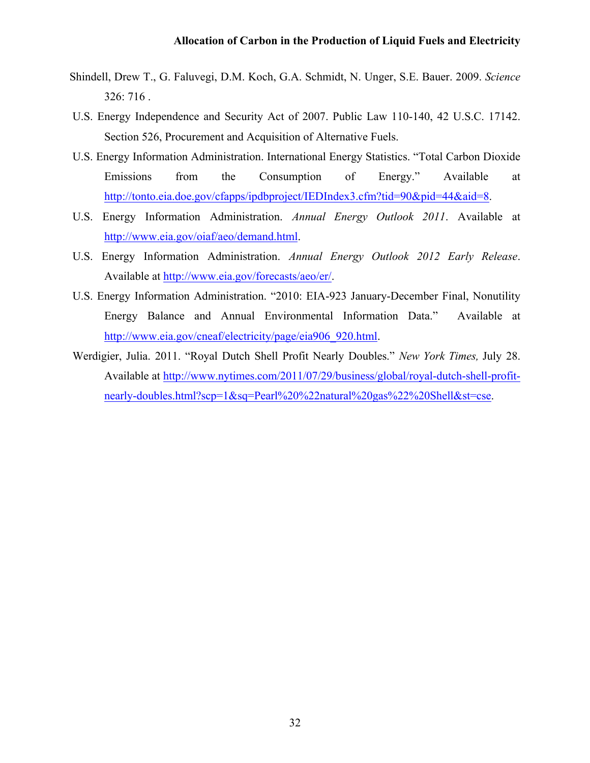- Shindell, Drew T., G. Faluvegi, D.M. Koch, G.A. Schmidt, N. Unger, S.E. Bauer. 2009. *Science* 326: 716 .
- U.S. Energy Independence and Security Act of 2007. Public Law 110-140, 42 U.S.C. 17142. Section 526, Procurement and Acquisition of Alternative Fuels.
- U.S. Energy Information Administration. International Energy Statistics. "Total Carbon Dioxide Emissions from the Consumption of Energy." Available at http://tonto.eia.doe.gov/cfapps/ipdbproject/IEDIndex3.cfm?tid=90&pid=44&aid=8.
- U.S. Energy Information Administration. *Annual Energy Outlook 2011*. Available at http://www.eia.gov/oiaf/aeo/demand.html.
- U.S. Energy Information Administration. *Annual Energy Outlook 2012 Early Release*. Available at http://www.eia.gov/forecasts/aeo/er/.
- U.S. Energy Information Administration. "2010: EIA-923 January-December Final, Nonutility Energy Balance and Annual Environmental Information Data." Available at http://www.eia.gov/cneaf/electricity/page/eia906\_920.html.
- Werdigier, Julia. 2011. "Royal Dutch Shell Profit Nearly Doubles." *New York Times,* July 28. Available at http://www.nytimes.com/2011/07/29/business/global/royal-dutch-shell-profitnearly-doubles.html?scp=1&sq=Pearl%20%22natural%20gas%22%20Shell&st=cse.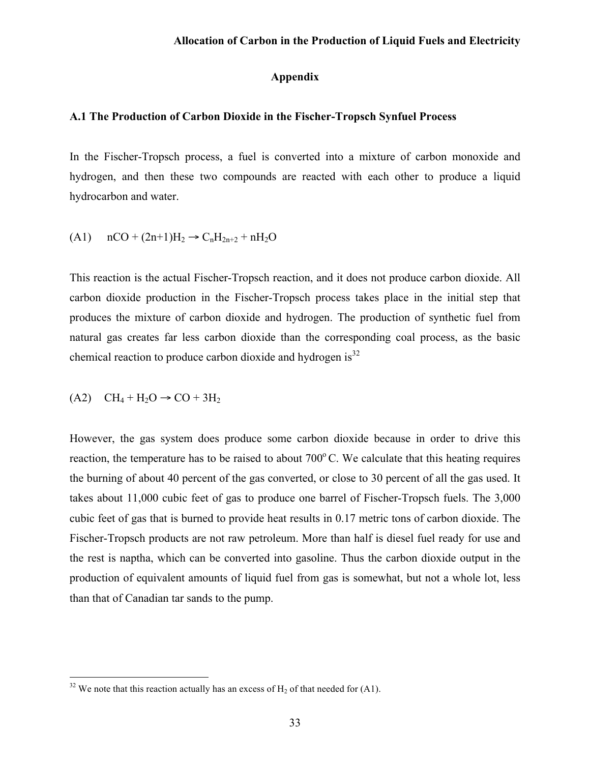#### **Appendix**

#### **A.1 The Production of Carbon Dioxide in the Fischer-Tropsch Synfuel Process**

In the Fischer-Tropsch process, a fuel is converted into a mixture of carbon monoxide and hydrogen, and then these two compounds are reacted with each other to produce a liquid hydrocarbon and water.

(A1) 
$$
nCO + (2n+1)H_2 \rightarrow C_nH_{2n+2} + nH_2O
$$

This reaction is the actual Fischer-Tropsch reaction, and it does not produce carbon dioxide. All carbon dioxide production in the Fischer-Tropsch process takes place in the initial step that produces the mixture of carbon dioxide and hydrogen. The production of synthetic fuel from natural gas creates far less carbon dioxide than the corresponding coal process, as the basic chemical reaction to produce carbon dioxide and hydrogen is $^{32}$ 

$$
(A2) \quad CH_4 + H_2O \rightarrow CO + 3H_2
$$

However, the gas system does produce some carbon dioxide because in order to drive this reaction, the temperature has to be raised to about  $700^{\circ}$ C. We calculate that this heating requires the burning of about 40 percent of the gas converted, or close to 30 percent of all the gas used. It takes about 11,000 cubic feet of gas to produce one barrel of Fischer-Tropsch fuels. The 3,000 cubic feet of gas that is burned to provide heat results in 0.17 metric tons of carbon dioxide. The Fischer-Tropsch products are not raw petroleum. More than half is diesel fuel ready for use and the rest is naptha, which can be converted into gasoline. Thus the carbon dioxide output in the production of equivalent amounts of liquid fuel from gas is somewhat, but not a whole lot, less than that of Canadian tar sands to the pump.

 $32$  We note that this reaction actually has an excess of H<sub>2</sub> of that needed for (A1).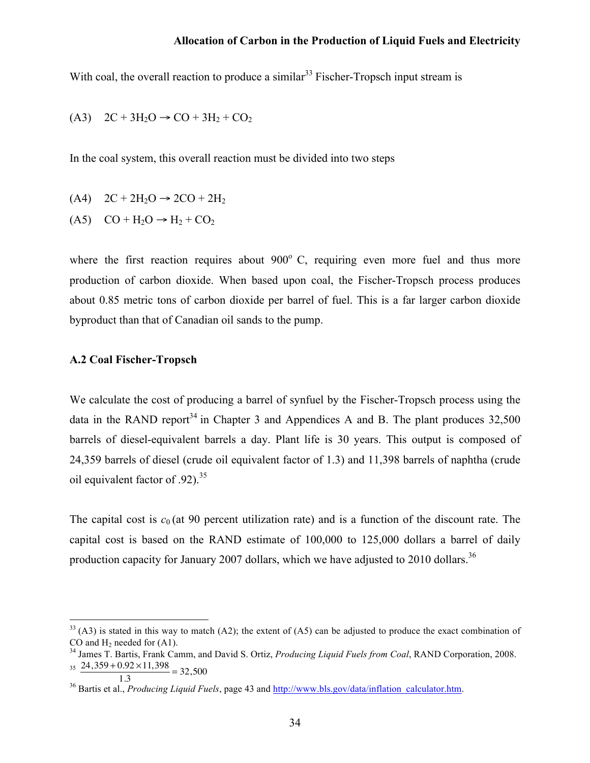With coal, the overall reaction to produce a similar<sup>33</sup> Fischer-Tropsch input stream is

$$
(A3) \quad 2C + 3H_2O \rightarrow CO + 3H_2 + CO_2
$$

In the coal system, this overall reaction must be divided into two steps

- $(A4)$  2C + 2H<sub>2</sub>O → 2CO + 2H<sub>2</sub>
- $(A5)$   $CO + H<sub>2</sub>O \rightarrow H<sub>2</sub> + CO<sub>2</sub>$

where the first reaction requires about  $900^{\circ}$  C, requiring even more fuel and thus more production of carbon dioxide. When based upon coal, the Fischer-Tropsch process produces about 0.85 metric tons of carbon dioxide per barrel of fuel. This is a far larger carbon dioxide byproduct than that of Canadian oil sands to the pump.

#### **A.2 Coal Fischer-Tropsch**

We calculate the cost of producing a barrel of synfuel by the Fischer-Tropsch process using the data in the RAND report<sup>34</sup> in Chapter 3 and Appendices A and B. The plant produces  $32.500$ barrels of diesel-equivalent barrels a day. Plant life is 30 years. This output is composed of 24,359 barrels of diesel (crude oil equivalent factor of 1.3) and 11,398 barrels of naphtha (crude oil equivalent factor of .92).<sup>35</sup>

The capital cost is  $c_0$  (at 90 percent utilization rate) and is a function of the discount rate. The capital cost is based on the RAND estimate of 100,000 to 125,000 dollars a barrel of daily production capacity for January 2007 dollars, which we have adjusted to 2010 dollars.<sup>36</sup>

 $33$  (A3) is stated in this way to match (A2); the extent of (A5) can be adjusted to produce the exact combination of CO and H2 needed for (A1). <sup>34</sup> James T. Bartis, Frank Camm, and David S. Ortiz, *Producing Liquid Fuels from Coal*, RAND Corporation, 2008.

 $\frac{24,359 + 0.92 \times 11,398}{1.3} = 32,500$ 

<sup>&</sup>lt;sup>36</sup> Bartis et al., *Producing Liquid Fuels*, page 43 and http://www.bls.gov/data/inflation\_calculator.htm.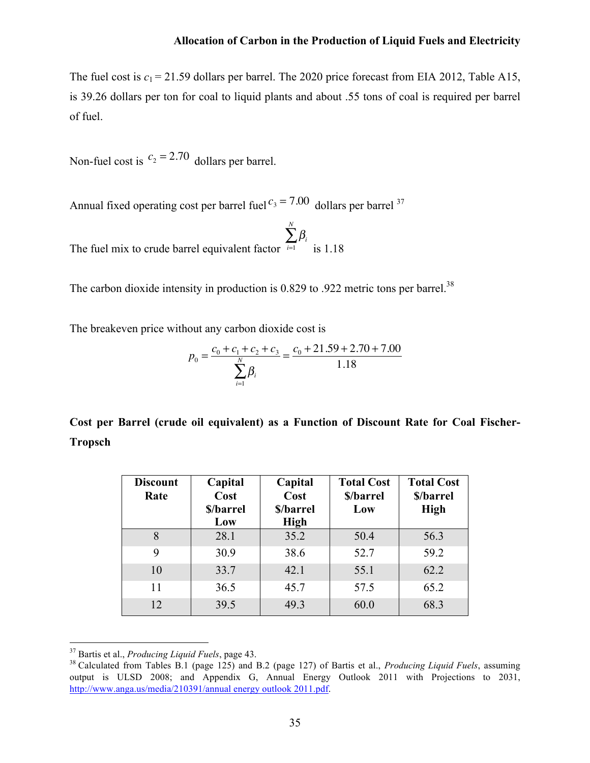The fuel cost is  $c_1 = 21.59$  dollars per barrel. The 2020 price forecast from EIA 2012, Table A15, is 39.26 dollars per ton for coal to liquid plants and about .55 tons of coal is required per barrel of fuel.

Non-fuel cost is  $c_2 = 2.70$  dollars per barrel.

Annual fixed operating cost per barrel fuel  $c_3 = 7.00$  dollars per barrel <sup>37</sup>

The fuel mix to crude barrel equivalent factor  $\beta_{\scriptscriptstyle i}$ *i*=1  $\sum^{N}$ is 1.18

The carbon dioxide intensity in production is  $0.829$  to  $.922$  metric tons per barrel.<sup>38</sup>

The breakeven price without any carbon dioxide cost is

$$
p_0 = \frac{c_0 + c_1 + c_2 + c_3}{\sum_{i=1}^{N} \beta_i} = \frac{c_0 + 21.59 + 2.70 + 7.00}{1.18}
$$

**Cost per Barrel (crude oil equivalent) as a Function of Discount Rate for Coal Fischer-Tropsch**

| <b>Discount</b><br>Rate | Capital<br>Cost  | Capital<br>Cost          | <b>Total Cost</b><br>\$/barrel | <b>Total Cost</b><br>\$/barrel |
|-------------------------|------------------|--------------------------|--------------------------------|--------------------------------|
|                         | \$/barrel<br>Low | \$/barrel<br><b>High</b> | Low                            | <b>High</b>                    |
| 8                       | 28.1             | 35.2                     | 50.4                           | 56.3                           |
| 9                       | 30.9             | 38.6                     | 52.7                           | 59.2                           |
| 10                      | 33.7             | 42.1                     | 55.1                           | 62.2                           |
| 11                      | 36.5             | 45.7                     | 57.5                           | 65.2                           |
| 12                      | 39.5             | 49.3                     | 60.0                           | 68.3                           |

 <sup>37</sup> Bartis et al., *Producing Liquid Fuels*, page 43.

<sup>38</sup> Calculated from Tables B.1 (page 125) and B.2 (page 127) of Bartis et al., *Producing Liquid Fuels*, assuming output is ULSD 2008; and Appendix G, Annual Energy Outlook 2011 with Projections to 2031, http://www.anga.us/media/210391/annual energy outlook 2011.pdf.